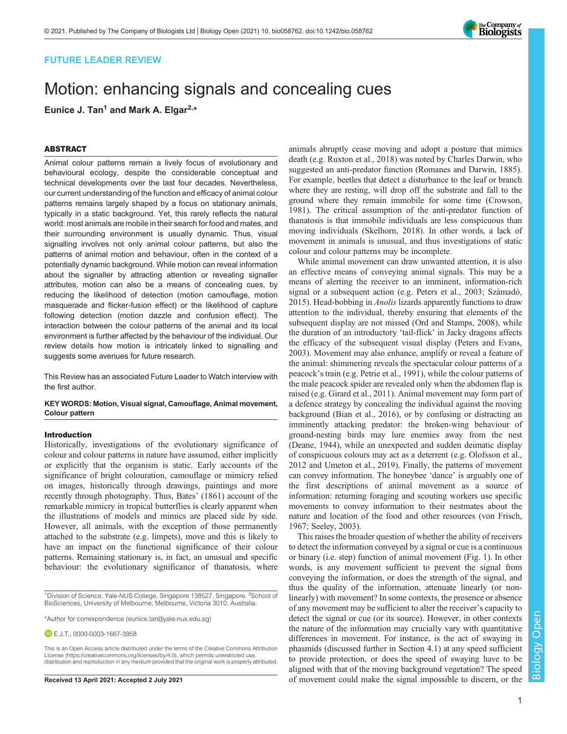## FUTURE LEADER REVIEW

# Motion: enhancing signals and concealing cues Eunice J. Tan<sup>1</sup> and Mark A. Elgar<sup>2,\*</sup>

### ABSTRACT

Animal colour patterns remain a lively focus of evolutionary and behavioural ecology, despite the considerable conceptual and technical developments over the last four decades. Nevertheless, our current understanding of the function and efficacy of animal colour patterns remains largely shaped by a focus on stationary animals, typically in a static background. Yet, this rarely reflects the natural world: most animals are mobile in their search for food and mates, and their surrounding environment is usually dynamic. Thus, visual signalling involves not only animal colour patterns, but also the patterns of animal motion and behaviour, often in the context of a potentially dynamic background. While motion can reveal information about the signaller by attracting attention or revealing signaller attributes, motion can also be a means of concealing cues, by reducing the likelihood of detection (motion camouflage, motion masquerade and flicker-fusion effect) or the likelihood of capture following detection (motion dazzle and confusion effect). The interaction between the colour patterns of the animal and its local environment is further affected by the behaviour of the individual. Our review details how motion is intricately linked to signalling and suggests some avenues for future research.

[This Review has an associated Future Leader to Watch interview with](https://doi.org/10.1242/bio.058762) [the first author.](https://doi.org/10.1242/bio.058762)

## KEY WORDS: Motion, Visual signal, Camouflage, Animal movement, Colour pattern

#### Introduction

Historically, investigations of the evolutionary significance of colour and colour patterns in nature have assumed, either implicitly or explicitly that the organism is static. Early accounts of the significance of bright colouration, camouflage or mimicry relied on images, historically through drawings, paintings and more recently through photography. Thus, Bates' (1861) account of the remarkable mimicry in tropical butterflies is clearly apparent when the illustrations of models and mimics are placed side by side. However, all animals, with the exception of those permanently attached to the substrate (e.g. limpets), move and this is likely to have an impact on the functional significance of their colour patterns. Remaining stationary is, in fact, an unusual and specific behaviour: the evolutionary significance of thanatosis, where

E.J.T., [0000-0003-1667-3958](http://orcid.org/0000-0003-1667-3958)

animals abruptly cease moving and adopt a posture that mimics death (e.g. [Ruxton et al., 2018\)](#page-9-0) was noted by Charles Darwin, who suggested an anti-predator function ([Romanes and Darwin, 1885\)](#page-9-0). For example, beetles that detect a disturbance to the leaf or branch where they are resting, will drop off the substrate and fall to the ground where they remain immobile for some time ([Crowson,](#page-7-0) [1981\)](#page-7-0). The critical assumption of the anti-predator function of thanatosis is that immobile individuals are less conspicuous than moving individuals [\(Skelhorn, 2018\)](#page-9-0). In other words, a lack of movement in animals is unusual, and thus investigations of static colour and colour patterns may be incomplete.

While animal movement can draw unwanted attention, it is also an effective means of conveying animal signals. This may be a means of alerting the receiver to an imminent, information-rich signal or a subsequent action (e.g. [Peters et al., 2003;](#page-9-0) [Számadó,](#page-10-0) [2015\)](#page-10-0). Head-bobbing in *Anolis* lizards apparently functions to draw attention to the individual, thereby ensuring that elements of the subsequent display are not missed [\(Ord and Stamps, 2008\)](#page-9-0), while the duration of an introductory 'tail-flick' in Jacky dragons affects the efficacy of the subsequent visual display [\(Peters and Evans,](#page-9-0) [2003\)](#page-9-0). Movement may also enhance, amplify or reveal a feature of the animal: shimmering reveals the spectacular colour patterns of a peacock's train (e.g. [Petrie et al., 1991](#page-9-0)), while the colour patterns of the male peacock spider are revealed only when the abdomen flap is raised (e.g. [Girard et al., 2011](#page-8-0)). Animal movement may form part of a defence strategy by concealing the individual against the moving background ([Bian et al., 2016\)](#page-7-0), or by confusing or distracting an imminently attacking predator: the broken-wing behaviour of ground-nesting birds may lure enemies away from the nest [\(Deane, 1944\)](#page-8-0), while an unexpected and sudden deimatic display of conspicuous colours may act as a deterrent (e.g. [Olofsson et al.,](#page-9-0) [2012](#page-9-0) and [Umeton et al., 2019\)](#page-10-0). Finally, the patterns of movement can convey information. The honeybee 'dance' is arguably one of the first descriptions of animal movement as a source of information: returning foraging and scouting workers use specific movements to convey information to their nestmates about the nature and location of the food and other resources [\(von Frisch,](#page-10-0) [1967;](#page-10-0) [Seeley, 2003](#page-9-0)).

This raises the broader question of whether the ability of receivers to detect the information conveyed by a signal or cue is a continuous or binary (i.e. step) function of animal movement [\(Fig. 1](#page-1-0)). In other words, is any movement sufficient to prevent the signal from conveying the information, or does the strength of the signal, and thus the quality of the information, attenuate linearly (or nonlinearly) with movement? In some contexts, the presence or absence of any movement may be sufficient to alter the receiver's capacity to detect the signal or cue (or its source). However, in other contexts the nature of the information may crucially vary with quantitative differences in movement. For instance, is the act of swaying in phasmids (discussed further in Section 4.1) at any speed sufficient to provide protection, or does the speed of swaying have to be aligned with that of the moving background vegetation? The speed Received 13 April 2021; Accepted 2 July 2021 of movement could make the signal impossible to discern, or the



<sup>&</sup>lt;sup>1</sup>Division of Science, Yale-NUS College, Singapore 138527, Singapore. <sup>2</sup>School of BioSciences, University of Melbourne, Melbourne, Victoria 3010, Australia.

<sup>\*</sup>Author for correspondence [\(eunice.tan@yale-nus.edu.sg\)](mailto:eunice.tan@yale-nus.edu.sg)

This is an Open Access article distributed under the terms of the Creative Commons Attribution License (https://creativecommons.org/licenses/by/4.0), which permits unrestricted use, distribution and reproduction in any medium provided that the original work is properly attributed.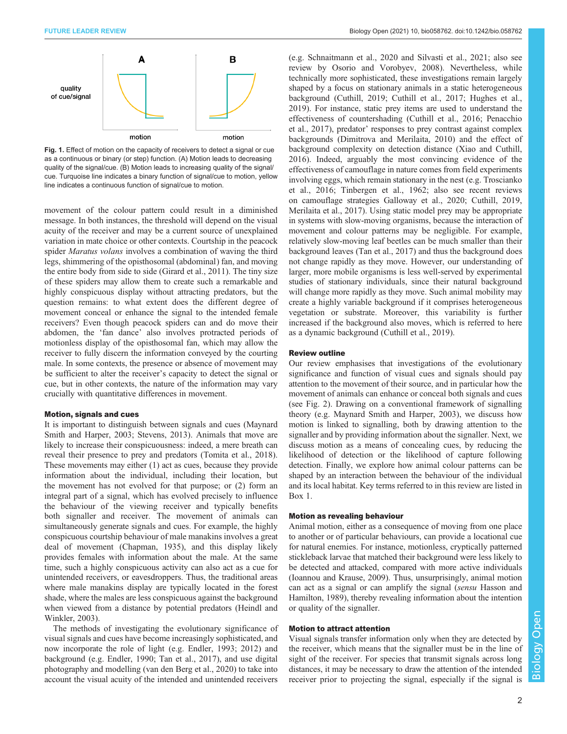<span id="page-1-0"></span>

Fig. 1. Effect of motion on the capacity of receivers to detect a signal or cue as a continuous or binary (or step) function. (A) Motion leads to decreasing quality of the signal/cue. (B) Motion leads to increasing quality of the signal/ cue. Turquoise line indicates a binary function of signal/cue to motion, yellow line indicates a continuous function of signal/cue to motion.

movement of the colour pattern could result in a diminished message. In both instances, the threshold will depend on the visual acuity of the receiver and may be a current source of unexplained variation in mate choice or other contexts. Courtship in the peacock spider *Maratus volans* involves a combination of waving the third legs, shimmering of the opisthosomal (abdominal) fan, and moving the entire body from side to side [\(Girard et al., 2011\)](#page-8-0). The tiny size of these spiders may allow them to create such a remarkable and highly conspicuous display without attracting predators, but the question remains: to what extent does the different degree of movement conceal or enhance the signal to the intended female receivers? Even though peacock spiders can and do move their abdomen, the 'fan dance' also involves protracted periods of motionless display of the opisthosomal fan, which may allow the receiver to fully discern the information conveyed by the courting male. In some contexts, the presence or absence of movement may be sufficient to alter the receiver's capacity to detect the signal or cue, but in other contexts, the nature of the information may vary crucially with quantitative differences in movement.

#### Motion, signals and cues

It is important to distinguish between signals and cues [\(Maynard](#page-9-0) [Smith and Harper, 2003](#page-9-0); [Stevens, 2013\)](#page-10-0). Animals that move are likely to increase their conspicuousness: indeed, a mere breath can reveal their presence to prey and predators ([Tomita et al., 2018\)](#page-10-0). These movements may either (1) act as cues, because they provide information about the individual, including their location, but the movement has not evolved for that purpose; or (2) form an integral part of a signal, which has evolved precisely to influence the behaviour of the viewing receiver and typically benefits both signaller and receiver. The movement of animals can simultaneously generate signals and cues. For example, the highly conspicuous courtship behaviour of male manakins involves a great deal of movement [\(Chapman, 1935\)](#page-7-0), and this display likely provides females with information about the male. At the same time, such a highly conspicuous activity can also act as a cue for unintended receivers, or eavesdroppers. Thus, the traditional areas where male manakins display are typically located in the forest shade, where the males are less conspicuous against the background when viewed from a distance by potential predators [\(Heindl and](#page-8-0) [Winkler, 2003\)](#page-8-0).

The methods of investigating the evolutionary significance of visual signals and cues have become increasingly sophisticated, and now incorporate the role of light (e.g. [Endler, 1993; 2012](#page-8-0)) and background (e.g. [Endler, 1990;](#page-8-0) [Tan et al., 2017\)](#page-10-0), and use digital photography and modelling ([van den Berg et al., 2020](#page-10-0)) to take into account the visual acuity of the intended and unintended receivers

(e.g. [Schnaitmann et al., 2020](#page-9-0) and [Silvasti et al., 2021;](#page-9-0) also see review by [Osorio and Vorobyev, 2008\)](#page-9-0). Nevertheless, while technically more sophisticated, these investigations remain largely shaped by a focus on stationary animals in a static heterogeneous background ([Cuthill, 2019](#page-8-0); [Cuthill et al., 2017](#page-8-0); [Hughes et al.,](#page-8-0) [2019\)](#page-8-0). For instance, static prey items are used to understand the effectiveness of countershading [\(Cuthill et al., 2016;](#page-8-0) [Penacchio](#page-9-0) [et al., 2017](#page-9-0)), predator' responses to prey contrast against complex backgrounds ([Dimitrova and Merilaita, 2010\)](#page-8-0) and the effect of background complexity on detection distance ([Xiao and Cuthill,](#page-10-0) [2016\)](#page-10-0). Indeed, arguably the most convincing evidence of the effectiveness of camouflage in nature comes from field experiments involving eggs, which remain stationary in the nest (e.g. [Troscianko](#page-10-0) [et al., 2016](#page-10-0); [Tinbergen et al., 1962;](#page-10-0) also see recent reviews on camouflage strategies [Galloway et al., 2020; Cuthill, 2019,](#page-8-0) [Merilaita et al., 2017](#page-9-0)). Using static model prey may be appropriate in systems with slow-moving organisms, because the interaction of movement and colour patterns may be negligible. For example, relatively slow-moving leaf beetles can be much smaller than their background leaves [\(Tan et al., 2017](#page-10-0)) and thus the background does not change rapidly as they move. However, our understanding of larger, more mobile organisms is less well-served by experimental studies of stationary individuals, since their natural background will change more rapidly as they move. Such animal mobility may create a highly variable background if it comprises heterogeneous vegetation or substrate. Moreover, this variability is further increased if the background also moves, which is referred to here as a dynamic background ([Cuthill et al., 2019\)](#page-8-0).

#### Review outline

Our review emphasises that investigations of the evolutionary significance and function of visual cues and signals should pay attention to the movement of their source, and in particular how the movement of animals can enhance or conceal both signals and cues (see [Fig. 2\)](#page-2-0). Drawing on a conventional framework of signalling theory (e.g. [Maynard Smith and Harper, 2003\)](#page-9-0), we discuss how motion is linked to signalling, both by drawing attention to the signaller and by providing information about the signaller. Next, we discuss motion as a means of concealing cues, by reducing the likelihood of detection or the likelihood of capture following detection. Finally, we explore how animal colour patterns can be shaped by an interaction between the behaviour of the individual and its local habitat. Key terms referred to in this review are listed in [Box 1](#page-3-0).

#### Motion as revealing behaviour

Animal motion, either as a consequence of moving from one place to another or of particular behaviours, can provide a locational cue for natural enemies. For instance, motionless, cryptically patterned stickleback larvae that matched their background were less likely to be detected and attacked, compared with more active individuals [\(Ioannou and Krause, 2009](#page-8-0)). Thus, unsurprisingly, animal motion can act as a signal or can amplify the signal (sensu [Hasson and](#page-8-0) [Hamilton, 1989\)](#page-8-0), thereby revealing information about the intention or quality of the signaller.

#### Motion to attract attention

Visual signals transfer information only when they are detected by the receiver, which means that the signaller must be in the line of sight of the receiver. For species that transmit signals across long distances, it may be necessary to draw the attention of the intended receiver prior to projecting the signal, especially if the signal is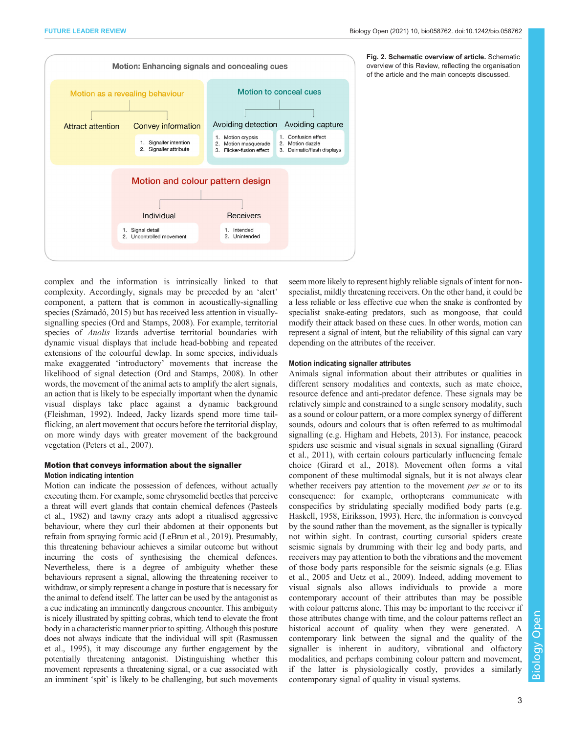<span id="page-2-0"></span>

Fig. 2. Schematic overview of article. Schematic overview of this Review, reflecting the organisation of the article and the main concepts discussed.

complex and the information is intrinsically linked to that complexity. Accordingly, signals may be preceded by an 'alert' component, a pattern that is common in acoustically-signalling species [\(Számadó, 2015\)](#page-10-0) but has received less attention in visuallysignalling species [\(Ord and Stamps, 2008](#page-9-0)). For example, territorial species of Anolis lizards advertise territorial boundaries with dynamic visual displays that include head-bobbing and repeated extensions of the colourful dewlap. In some species, individuals make exaggerated 'introductory' movements that increase the likelihood of signal detection ([Ord and Stamps, 2008](#page-9-0)). In other words, the movement of the animal acts to amplify the alert signals, an action that is likely to be especially important when the dynamic visual displays take place against a dynamic background [\(Fleishman, 1992](#page-8-0)). Indeed, Jacky lizards spend more time tailflicking, an alert movement that occurs before the territorial display, on more windy days with greater movement of the background vegetation ([Peters et al., 2007\)](#page-9-0).

## Motion that conveys information about the signaller Motion indicating intention

Motion can indicate the possession of defences, without actually executing them. For example, some chrysomelid beetles that perceive a threat will evert glands that contain chemical defences [\(Pasteels](#page-9-0) [et al., 1982](#page-9-0)) and tawny crazy ants adopt a ritualised aggressive behaviour, where they curl their abdomen at their opponents but refrain from spraying formic acid [\(LeBrun et al., 2019\)](#page-9-0). Presumably, this threatening behaviour achieves a similar outcome but without incurring the costs of synthesising the chemical defences. Nevertheless, there is a degree of ambiguity whether these behaviours represent a signal, allowing the threatening receiver to withdraw, or simply represent a change in posture that is necessary for the animal to defend itself. The latter can be used by the antagonist as a cue indicating an imminently dangerous encounter. This ambiguity is nicely illustrated by spitting cobras, which tend to elevate the front body in a characteristic manner prior to spitting. Although this posture does not always indicate that the individual will spit [\(Rasmussen](#page-9-0) [et al., 1995\)](#page-9-0), it may discourage any further engagement by the potentially threatening antagonist. Distinguishing whether this movement represents a threatening signal, or a cue associated with an imminent 'spit' is likely to be challenging, but such movements

seem more likely to represent highly reliable signals of intent for nonspecialist, mildly threatening receivers. On the other hand, it could be a less reliable or less effective cue when the snake is confronted by specialist snake-eating predators, such as mongoose, that could modify their attack based on these cues. In other words, motion can represent a signal of intent, but the reliability of this signal can vary depending on the attributes of the receiver.

#### Motion indicating signaller attributes

Animals signal information about their attributes or qualities in different sensory modalities and contexts, such as mate choice, resource defence and anti-predator defence. These signals may be relatively simple and constrained to a single sensory modality, such as a sound or colour pattern, or a more complex synergy of different sounds, odours and colours that is often referred to as multimodal signalling (e.g. [Higham and Hebets, 2013\).](#page-8-0) For instance, peacock spiders use seismic and visual signals in sexual signalling ([Girard](#page-8-0) [et al., 2011](#page-8-0)), with certain colours particularly influencing female choice ([Girard et al., 2018\)](#page-8-0). Movement often forms a vital component of these multimodal signals, but it is not always clear whether receivers pay attention to the movement *per se* or to its consequence: for example, orthopterans communicate with conspecifics by stridulating specially modified body parts (e.g. [Haskell, 1958](#page-8-0), [Eiriksson, 1993\)](#page-8-0). Here, the information is conveyed by the sound rather than the movement, as the signaller is typically not within sight. In contrast, courting cursorial spiders create seismic signals by drumming with their leg and body parts, and receivers may pay attention to both the vibrations and the movement of those body parts responsible for the seismic signals (e.g. [Elias](#page-8-0) [et al., 2005](#page-8-0) and [Uetz et al., 2009](#page-10-0)). Indeed, adding movement to visual signals also allows individuals to provide a more contemporary account of their attributes than may be possible with colour patterns alone. This may be important to the receiver if those attributes change with time, and the colour patterns reflect an historical account of quality when they were generated. A contemporary link between the signal and the quality of the signaller is inherent in auditory, vibrational and olfactory modalities, and perhaps combining colour pattern and movement, if the latter is physiologically costly, provides a similarly contemporary signal of quality in visual systems.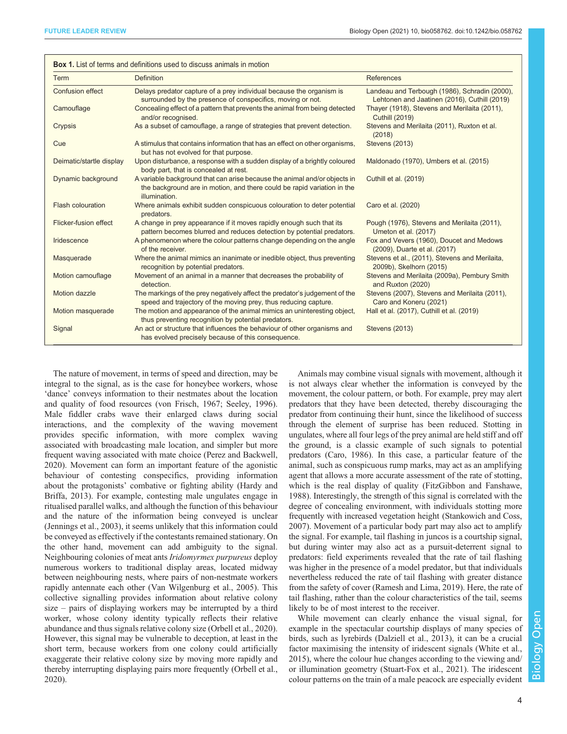<span id="page-3-0"></span>

| <b>Term</b>              | <b>Definition</b>                                                                                                                                                     | <b>References</b>                                                                             |
|--------------------------|-----------------------------------------------------------------------------------------------------------------------------------------------------------------------|-----------------------------------------------------------------------------------------------|
| <b>Confusion effect</b>  | Delays predator capture of a prey individual because the organism is<br>surrounded by the presence of conspecifics, moving or not.                                    | Landeau and Terbough (1986), Schradin (2000),<br>Lehtonen and Jaatinen (2016), Cuthill (2019) |
| Camouflage               | Concealing effect of a pattern that prevents the animal from being detected<br>and/or recognised.                                                                     | Thayer (1918), Stevens and Merilaita (2011),<br><b>Cuthill (2019)</b>                         |
| Crypsis                  | As a subset of camouflage, a range of strategies that prevent detection.                                                                                              | Stevens and Merilaita (2011), Ruxton et al.<br>(2018)                                         |
| Cue                      | A stimulus that contains information that has an effect on other organisms,<br>but has not evolved for that purpose.                                                  | <b>Stevens (2013)</b>                                                                         |
| Deimatic/startle display | Upon disturbance, a response with a sudden display of a brightly coloured<br>body part, that is concealed at rest.                                                    | Maldonado (1970), Umbers et al. (2015)                                                        |
| Dynamic background       | A variable background that can arise because the animal and/or objects in<br>the background are in motion, and there could be rapid variation in the<br>illumination. | Cuthill et al. (2019)                                                                         |
| <b>Flash colouration</b> | Where animals exhibit sudden conspicuous colouration to deter potential<br>predators.                                                                                 | Caro et al. (2020)                                                                            |
| Flicker-fusion effect    | A change in prey appearance if it moves rapidly enough such that its<br>pattern becomes blurred and reduces detection by potential predators.                         | Pough (1976), Stevens and Merilaita (2011),<br>Umeton et al. (2017)                           |
| Iridescence              | A phenomenon where the colour patterns change depending on the angle<br>of the receiver.                                                                              | Fox and Vevers (1960), Doucet and Medows<br>(2009), Duarte et al. (2017)                      |
| Masquerade               | Where the animal mimics an inanimate or inedible object, thus preventing<br>recognition by potential predators.                                                       | Stevens et al., (2011), Stevens and Merilaita,<br>2009b), Skelhorn (2015)                     |
| Motion camouflage        | Movement of an animal in a manner that decreases the probability of<br>detection.                                                                                     | Stevens and Merilaita (2009a), Pembury Smith<br>and Ruxton (2020)                             |
| Motion dazzle            | The markings of the prey negatively affect the predator's judgement of the<br>speed and trajectory of the moving prey, thus reducing capture.                         | Stevens (2007), Stevens and Merilaita (2011),<br>Caro and Koneru (2021)                       |
| Motion masquerade        | The motion and appearance of the animal mimics an uninteresting object,<br>thus preventing recognition by potential predators.                                        | Hall et al. (2017), Cuthill et al. (2019)                                                     |
| Signal                   | An act or structure that influences the behaviour of other organisms and<br>has evolved precisely because of this consequence.                                        | <b>Stevens (2013)</b>                                                                         |

The nature of movement, in terms of speed and direction, may be integral to the signal, as is the case for honeybee workers, whose 'dance' conveys information to their nestmates about the location and quality of food resources ([von Frisch, 1967;](#page-10-0) [Seeley, 1996\)](#page-9-0). Male fiddler crabs wave their enlarged claws during social interactions, and the complexity of the waving movement provides specific information, with more complex waving associated with broadcasting male location, and simpler but more frequent waving associated with mate choice [\(Perez and Backwell,](#page-9-0) [2020](#page-9-0)). Movement can form an important feature of the agonistic behaviour of contesting conspecifics, providing information about the protagonists' combative or fighting ability [\(Hardy and](#page-8-0) [Briffa, 2013](#page-8-0)). For example, contesting male ungulates engage in ritualised parallel walks, and although the function of this behaviour and the nature of the information being conveyed is unclear [\(Jennings et al., 2003\)](#page-8-0), it seems unlikely that this information could be conveyed as effectively if the contestants remained stationary. On the other hand, movement can add ambiguity to the signal. Neighbouring colonies of meat ants Iridomyrmex purpureus deploy numerous workers to traditional display areas, located midway between neighbouring nests, where pairs of non-nestmate workers rapidly antennate each other [\(Van Wilgenburg et al., 2005](#page-10-0)). This collective signalling provides information about relative colony size – pairs of displaying workers may be interrupted by a third worker, whose colony identity typically reflects their relative abundance and thus signals relative colony size ([Orbell et al., 2020\)](#page-9-0). However, this signal may be vulnerable to deception, at least in the short term, because workers from one colony could artificially exaggerate their relative colony size by moving more rapidly and thereby interrupting displaying pairs more frequently ([Orbell et al.,](#page-9-0) [2020](#page-9-0)).

Animals may combine visual signals with movement, although it is not always clear whether the information is conveyed by the movement, the colour pattern, or both. For example, prey may alert predators that they have been detected, thereby discouraging the predator from continuing their hunt, since the likelihood of success through the element of surprise has been reduced. Stotting in ungulates, where all four legs of the prey animal are held stiff and off the ground, is a classic example of such signals to potential predators [\(Caro, 1986](#page-7-0)). In this case, a particular feature of the animal, such as conspicuous rump marks, may act as an amplifying agent that allows a more accurate assessment of the rate of stotting, which is the real display of quality [\(FitzGibbon and Fanshawe,](#page-8-0) [1988\)](#page-8-0). Interestingly, the strength of this signal is correlated with the degree of concealing environment, with individuals stotting more frequently with increased vegetation height ([Stankowich and Coss,](#page-10-0) [2007\)](#page-10-0). Movement of a particular body part may also act to amplify the signal. For example, tail flashing in juncos is a courtship signal, but during winter may also act as a pursuit-deterrent signal to predators: field experiments revealed that the rate of tail flashing was higher in the presence of a model predator, but that individuals nevertheless reduced the rate of tail flashing with greater distance from the safety of cover [\(Ramesh and Lima, 2019\)](#page-9-0). Here, the rate of tail flashing, rather than the colour characteristics of the tail, seems likely to be of most interest to the receiver.

While movement can clearly enhance the visual signal, for example in the spectacular courtship displays of many species of birds, such as lyrebirds [\(Dalziell et al., 2013](#page-8-0)), it can be a crucial factor maximising the intensity of iridescent signals ([White et al.,](#page-10-0) [2015\)](#page-10-0), where the colour hue changes according to the viewing and/ or illumination geometry ([Stuart-Fox et al., 2021\)](#page-10-0). The iridescent colour patterns on the train of a male peacock are especially evident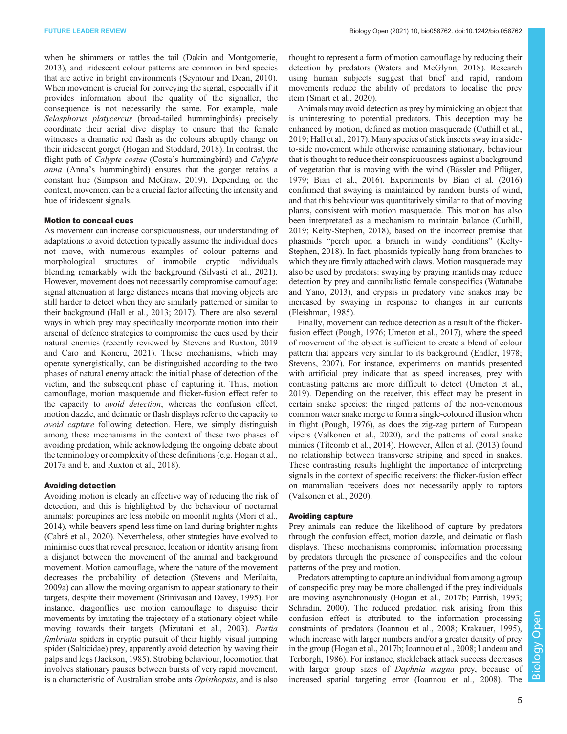when he shimmers or rattles the tail ([Dakin and Montgomerie,](#page-8-0) [2013](#page-8-0)), and iridescent colour patterns are common in bird species that are active in bright environments ([Seymour and Dean, 2010\)](#page-9-0). When movement is crucial for conveying the signal, especially if it provides information about the quality of the signaller, the consequence is not necessarily the same. For example, male Selasphorus platycercus (broad-tailed hummingbirds) precisely coordinate their aerial dive display to ensure that the female witnesses a dramatic red flash as the colours abruptly change on their iridescent gorget ([Hogan and Stoddard, 2018\)](#page-8-0). In contrast, the flight path of Calypte costae (Costa's hummingbird) and Calypte anna (Anna's hummingbird) ensures that the gorget retains a constant hue ([Simpson and McGraw, 2019\)](#page-9-0). Depending on the context, movement can be a crucial factor affecting the intensity and hue of iridescent signals.

#### Motion to conceal cues

As movement can increase conspicuousness, our understanding of adaptations to avoid detection typically assume the individual does not move, with numerous examples of colour patterns and morphological structures of immobile cryptic individuals blending remarkably with the background [\(Silvasti et al., 2021\)](#page-9-0). However, movement does not necessarily compromise camouflage: signal attenuation at large distances means that moving objects are still harder to detect when they are similarly patterned or similar to their background [\(Hall et al., 2013](#page-8-0); [2017](#page-8-0)). There are also several ways in which prey may specifically incorporate motion into their arsenal of defence strategies to compromise the cues used by their natural enemies (recently reviewed by [Stevens and Ruxton, 2019](#page-10-0) and [Caro and Koneru, 2021\)](#page-7-0). These mechanisms, which may operate synergistically, can be distinguished according to the two phases of natural enemy attack: the initial phase of detection of the victim, and the subsequent phase of capturing it. Thus, motion camouflage, motion masquerade and flicker-fusion effect refer to the capacity to avoid detection, whereas the confusion effect, motion dazzle, and deimatic or flash displays refer to the capacity to avoid capture following detection. Here, we simply distinguish among these mechanisms in the context of these two phases of avoiding predation, while acknowledging the ongoing debate about the terminology or complexity of these definitions (e.g. [Hogan et al.,](#page-8-0) [2017a](#page-8-0) and [b,](#page-8-0) and [Ruxton et al., 2018\).](#page-9-0)

#### Avoiding detection

Avoiding motion is clearly an effective way of reducing the risk of detection, and this is highlighted by the behaviour of nocturnal animals: porcupines are less mobile on moonlit nights ([Mori et al.,](#page-9-0) [2014](#page-9-0)), while beavers spend less time on land during brighter nights [\(Cabré et al., 2020](#page-7-0)). Nevertheless, other strategies have evolved to minimise cues that reveal presence, location or identity arising from a disjunct between the movement of the animal and background movement. Motion camouflage, where the nature of the movement decreases the probability of detection [\(Stevens and Merilaita,](#page-10-0) [2009a](#page-10-0)) can allow the moving organism to appear stationary to their targets, despite their movement ([Srinivasan and Davey, 1995](#page-9-0)). For instance, dragonflies use motion camouflage to disguise their movements by imitating the trajectory of a stationary object while moving towards their targets [\(Mizutani et al., 2003\)](#page-9-0). Portia fimbriata spiders in cryptic pursuit of their highly visual jumping spider (Salticidae) prey, apparently avoid detection by waving their palps and legs [\(Jackson, 1985](#page-8-0)). Strobing behaviour, locomotion that involves stationary pauses between bursts of very rapid movement, is a characteristic of Australian strobe ants Opisthopsis, and is also

thought to represent a form of motion camouflage by reducing their detection by predators [\(Waters and McGlynn, 2018\)](#page-10-0). Research using human subjects suggest that brief and rapid, random movements reduce the ability of predators to localise the prey item [\(Smart et al., 2020](#page-9-0)).

Animals may avoid detection as prey by mimicking an object that is uninteresting to potential predators. This deception may be enhanced by motion, defined as motion masquerade ([Cuthill et al.,](#page-8-0) [2019; Hall et al., 2017](#page-8-0)). Many species of stick insects sway in a sideto-side movement while otherwise remaining stationary, behaviour that is thought to reduce their conspicuousness against a background of vegetation that is moving with the wind ([Bässler and Pflüger,](#page-7-0) [1979; Bian et al., 2016](#page-7-0)). Experiments by [Bian et al. \(2016\)](#page-7-0) confirmed that swaying is maintained by random bursts of wind, and that this behaviour was quantitatively similar to that of moving plants, consistent with motion masquerade. This motion has also been interpretated as a mechanism to maintain balance [\(Cuthill,](#page-8-0) [2019; Kelty-Stephen, 2018\)](#page-8-0), based on the incorrect premise that phasmids "perch upon a branch in windy conditions" ([Kelty-](#page-8-0)[Stephen, 2018\)](#page-8-0). In fact, phasmids typically hang from branches to which they are firmly attached with claws. Motion masquerade may also be used by predators: swaying by praying mantids may reduce detection by prey and cannibalistic female conspecifics ([Watanabe](#page-10-0) [and Yano, 2013\)](#page-10-0), and crypsis in predatory vine snakes may be increased by swaying in response to changes in air currents [\(Fleishman, 1985](#page-8-0)).

Finally, movement can reduce detection as a result of the flickerfusion effect ([Pough, 1976;](#page-9-0) [Umeton et al., 2017\)](#page-10-0), where the speed of movement of the object is sufficient to create a blend of colour pattern that appears very similar to its background ([Endler, 1978](#page-8-0); [Stevens, 2007\)](#page-10-0). For instance, experiments on mantids presented with artificial prey indicate that as speed increases, prey with contrasting patterns are more difficult to detect ([Umeton et al.,](#page-10-0) [2019\)](#page-10-0). Depending on the receiver, this effect may be present in certain snake species: the ringed patterns of the non-venomous common water snake merge to form a single-coloured illusion when in flight [\(Pough, 1976\)](#page-9-0), as does the zig-zag pattern of European vipers ([Valkonen et al., 2020\)](#page-10-0), and the patterns of coral snake mimics [\(Titcomb et al., 2014](#page-10-0)). However, [Allen et al. \(2013\)](#page-7-0) found no relationship between transverse striping and speed in snakes. These contrasting results highlight the importance of interpreting signals in the context of specific receivers: the flicker-fusion effect on mammalian receivers does not necessarily apply to raptors [\(Valkonen et al., 2020\).](#page-10-0)

## Avoiding capture

Prey animals can reduce the likelihood of capture by predators through the confusion effect, motion dazzle, and deimatic or flash displays. These mechanisms compromise information processing by predators through the presence of conspecifics and the colour patterns of the prey and motion.

Predators attempting to capture an individual from among a group of conspecific prey may be more challenged if the prey individuals are moving asynchronously [\(Hogan et al., 2017b;](#page-8-0) [Parrish, 1993](#page-9-0); [Schradin, 2000\)](#page-9-0). The reduced predation risk arising from this confusion effect is attributed to the information processing constraints of predators [\(Ioannou et al., 2008](#page-8-0); [Krakauer, 1995\)](#page-9-0), which increase with larger numbers and/or a greater density of prey in the group [\(Hogan et al., 2017b; Ioannou et al., 2008;](#page-8-0) [Landeau and](#page-9-0) [Terborgh, 1986](#page-9-0)). For instance, stickleback attack success decreases with larger group sizes of Daphnia magna prey, because of increased spatial targeting error ([Ioannou et al., 2008\)](#page-8-0). The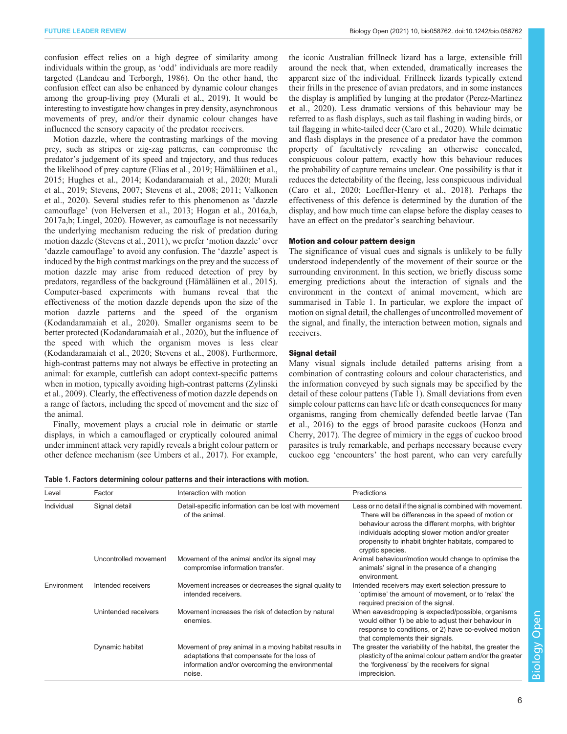<span id="page-5-0"></span>confusion effect relies on a high degree of similarity among individuals within the group, as 'odd' individuals are more readily targeted [\(Landeau and Terborgh, 1986\)](#page-9-0). On the other hand, the confusion effect can also be enhanced by dynamic colour changes among the group-living prey [\(Murali et al., 2019\)](#page-9-0). It would be interesting to investigate how changes in prey density, asynchronous movements of prey, and/or their dynamic colour changes have influenced the sensory capacity of the predator receivers.

Motion dazzle, where the contrasting markings of the moving prey, such as stripes or zig-zag patterns, can compromise the predator's judgement of its speed and trajectory, and thus reduces the likelihood of prey capture ([Elias et al., 2019; Hämäläinen et al.,](#page-8-0) [2015](#page-8-0); [Hughes et al., 2014](#page-8-0); [Kodandaramaiah et al., 2020](#page-8-0); [Murali](#page-9-0) [et al., 2019;](#page-9-0) [Stevens, 2007](#page-10-0); [Stevens et al., 2008](#page-10-0); [2011; Valkonen](#page-10-0) [et al., 2020\)](#page-10-0). Several studies refer to this phenomenon as 'dazzle camouflage' ([von Helversen et al., 2013](#page-10-0); [Hogan et al., 2016a](#page-8-0),[b,](#page-8-0) [2017a](#page-8-0),[b](#page-8-0); [Lingel, 2020\)](#page-9-0). However, as camouflage is not necessarily the underlying mechanism reducing the risk of predation during motion dazzle ([Stevens et al., 2011](#page-10-0)), we prefer 'motion dazzle' over 'dazzle camouflage' to avoid any confusion. The 'dazzle' aspect is induced by the high contrast markings on the prey and the success of motion dazzle may arise from reduced detection of prey by predators, regardless of the background [\(Hämäläinen et al., 2015\)](#page-8-0). Computer-based experiments with humans reveal that the effectiveness of the motion dazzle depends upon the size of the motion dazzle patterns and the speed of the organism [\(Kodandaramaiah et al., 2020](#page-8-0)). Smaller organisms seem to be better protected ([Kodandaramaiah et al., 2020](#page-8-0)), but the influence of the speed with which the organism moves is less clear [\(Kodandaramaiah et al., 2020;](#page-8-0) [Stevens et al., 2008\)](#page-10-0). Furthermore, high-contrast patterns may not always be effective in protecting an animal: for example, cuttlefish can adopt context-specific patterns when in motion, typically avoiding high-contrast patterns ([Zylinski](#page-10-0) [et al., 2009](#page-10-0)). Clearly, the effectiveness of motion dazzle depends on a range of factors, including the speed of movement and the size of the animal.

Finally, movement plays a crucial role in deimatic or startle displays, in which a camouflaged or cryptically coloured animal under imminent attack very rapidly reveals a bright colour pattern or other defence mechanism (see [Umbers et al., 2017\)](#page-10-0). For example,

the iconic Australian frillneck lizard has a large, extensible frill around the neck that, when extended, dramatically increases the apparent size of the individual. Frillneck lizards typically extend their frills in the presence of avian predators, and in some instances the display is amplified by lunging at the predator ([Perez-Martinez](#page-9-0) [et al., 2020](#page-9-0)). Less dramatic versions of this behaviour may be referred to as flash displays, such as tail flashing in wading birds, or tail flagging in white-tailed deer [\(Caro et al., 2020](#page-7-0)). While deimatic and flash displays in the presence of a predator have the common property of facultatively revealing an otherwise concealed, conspicuous colour pattern, exactly how this behaviour reduces the probability of capture remains unclear. One possibility is that it reduces the detectability of the fleeing, less conspicuous individual [\(Caro et al., 2020](#page-7-0); [Loeffler-Henry et al., 2018](#page-9-0)). Perhaps the effectiveness of this defence is determined by the duration of the display, and how much time can elapse before the display ceases to have an effect on the predator's searching behaviour.

#### Motion and colour pattern design

The significance of visual cues and signals is unlikely to be fully understood independently of the movement of their source or the surrounding environment. In this section, we briefly discuss some emerging predictions about the interaction of signals and the environment in the context of animal movement, which are summarised in Table 1. In particular, we explore the impact of motion on signal detail, the challenges of uncontrolled movement of the signal, and finally, the interaction between motion, signals and receivers.

#### Signal detail

Many visual signals include detailed patterns arising from a combination of contrasting colours and colour characteristics, and the information conveyed by such signals may be specified by the detail of these colour pattens (Table 1). Small deviations from even simple colour patterns can have life or death consequences for many organisms, ranging from chemically defended beetle larvae ([Tan](#page-10-0) [et al., 2016](#page-10-0)) to the eggs of brood parasite cuckoos ([Honza and](#page-8-0) [Cherry, 2017\)](#page-8-0). The degree of mimicry in the eggs of cuckoo brood parasites is truly remarkable, and perhaps necessary because every cuckoo egg 'encounters' the host parent, who can very carefully

Table 1. Factors determining colour patterns and their interactions with motion.

| Level       | Factor                | Interaction with motion                                                                                                                                            | Predictions                                                                                                                                                                                                                                                                                                |
|-------------|-----------------------|--------------------------------------------------------------------------------------------------------------------------------------------------------------------|------------------------------------------------------------------------------------------------------------------------------------------------------------------------------------------------------------------------------------------------------------------------------------------------------------|
| Individual  | Signal detail         | Detail-specific information can be lost with movement<br>of the animal.                                                                                            | Less or no detail if the signal is combined with movement.<br>There will be differences in the speed of motion or<br>behaviour across the different morphs, with brighter<br>individuals adopting slower motion and/or greater<br>propensity to inhabit brighter habitats, compared to<br>cryptic species. |
|             | Uncontrolled movement | Movement of the animal and/or its signal may<br>compromise information transfer.                                                                                   | Animal behaviour/motion would change to optimise the<br>animals' signal in the presence of a changing<br>environment.                                                                                                                                                                                      |
| Environment | Intended receivers    | Movement increases or decreases the signal quality to<br>intended receivers.                                                                                       | Intended receivers may exert selection pressure to<br>'optimise' the amount of movement, or to 'relax' the<br>required precision of the signal.                                                                                                                                                            |
|             | Unintended receivers  | Movement increases the risk of detection by natural<br>enemies.                                                                                                    | When eavesdropping is expected/possible, organisms<br>would either 1) be able to adjust their behaviour in<br>response to conditions, or 2) have co-evolved motion<br>that complements their signals.                                                                                                      |
|             | Dynamic habitat       | Movement of prey animal in a moving habitat results in<br>adaptations that compensate for the loss of<br>information and/or overcoming the environmental<br>noise. | The greater the variability of the habitat, the greater the<br>plasticity of the animal colour pattern and/or the greater<br>the 'forgiveness' by the receivers for signal<br>imprecision.                                                                                                                 |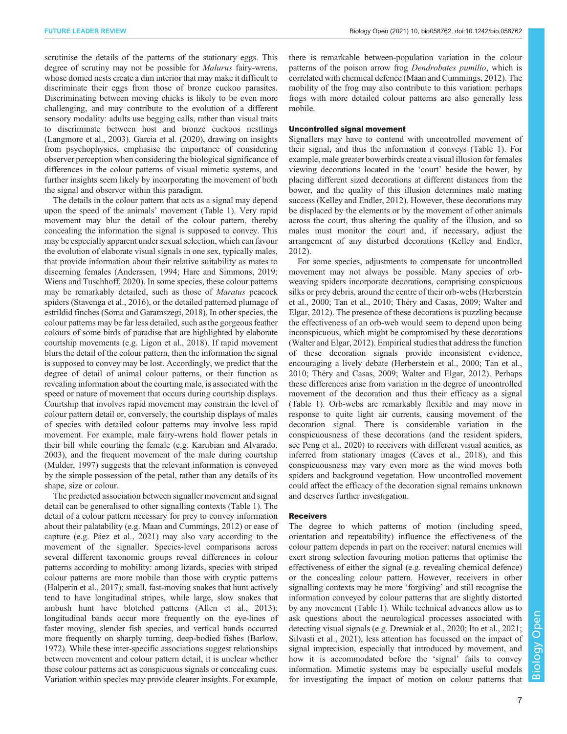scrutinise the details of the patterns of the stationary eggs. This degree of scrutiny may not be possible for Malurus fairy-wrens, whose domed nests create a dim interior that may make it difficult to discriminate their eggs from those of bronze cuckoo parasites. Discriminating between moving chicks is likely to be even more challenging, and may contribute to the evolution of a different sensory modality: adults use begging calls, rather than visual traits to discriminate between host and bronze cuckoos nestlings [\(Langmore et al., 2003\)](#page-9-0). [Garcia et al. \(2020\)](#page-8-0), drawing on insights from psychophysics, emphasise the importance of considering observer perception when considering the biological significance of differences in the colour patterns of visual mimetic systems, and further insights seem likely by incorporating the movement of both the signal and observer within this paradigm.

The details in the colour pattern that acts as a signal may depend upon the speed of the animals' movement ([Table 1\)](#page-5-0). Very rapid movement may blur the detail of the colour pattern, thereby concealing the information the signal is supposed to convey. This may be especially apparent under sexual selection, which can favour the evolution of elaborate visual signals in one sex, typically males, that provide information about their relative suitability as mates to discerning females ([Anderssen, 1994;](#page-7-0) [Hare and Simmons, 2019](#page-8-0); [Wiens and Tuschhoff, 2020\)](#page-10-0). In some species, these colour patterns may be remarkably detailed, such as those of Maratus peacock spiders ([Stavenga et al., 2016\)](#page-10-0), or the detailed patterned plumage of estrildid finches [\(Soma and Garamszegi, 2018](#page-9-0)). In other species, the colour patterns may be far less detailed, such as the gorgeous feather colours of some birds of paradise that are highlighted by elaborate courtship movements (e.g. [Ligon et al., 2018\)](#page-9-0). If rapid movement blurs the detail of the colour pattern, then the information the signal is supposed to convey may be lost. Accordingly, we predict that the degree of detail of animal colour patterns, or their function as revealing information about the courting male, is associated with the speed or nature of movement that occurs during courtship displays. Courtship that involves rapid movement may constrain the level of colour pattern detail or, conversely, the courtship displays of males of species with detailed colour patterns may involve less rapid movement. For example, male fairy-wrens hold flower petals in their bill while courting the female (e.g. [Karubian and Alvarado,](#page-8-0) [2003](#page-8-0)), and the frequent movement of the male during courtship [\(Mulder, 1997](#page-9-0)) suggests that the relevant information is conveyed by the simple possession of the petal, rather than any details of its shape, size or colour.

The predicted association between signaller movement and signal detail can be generalised to other signalling contexts [\(Table 1\)](#page-5-0). The detail of a colour pattern necessary for prey to convey information about their palatability (e.g. [Maan and Cummings, 2012\)](#page-9-0) or ease of capture (e.g. [Páez et al., 2021\)](#page-9-0) may also vary according to the movement of the signaller. Species-level comparisons across several different taxonomic groups reveal differences in colour patterns according to mobility: among lizards, species with striped colour patterns are more mobile than those with cryptic patterns [\(Halperin et al., 2017](#page-8-0)); small, fast-moving snakes that hunt actively tend to have longitudinal stripes, while large, slow snakes that ambush hunt have blotched patterns ([Allen et al., 2013](#page-7-0)); longitudinal bands occur more frequently on the eye-lines of faster moving, slender fish species, and vertical bands occurred more frequently on sharply turning, deep-bodied fishes [\(Barlow,](#page-7-0) [1972](#page-7-0)). While these inter-specific associations suggest relationships between movement and colour pattern detail, it is unclear whether these colour patterns act as conspicuous signals or concealing cues. Variation within species may provide clearer insights. For example,

there is remarkable between-population variation in the colour patterns of the poison arrow frog Dendrobates pumilio, which is correlated with chemical defence ([Maan and Cummings, 2012](#page-9-0)). The mobility of the frog may also contribute to this variation: perhaps frogs with more detailed colour patterns are also generally less mobile.

#### Uncontrolled signal movement

Signallers may have to contend with uncontrolled movement of their signal, and thus the information it conveys [\(Table 1](#page-5-0)). For example, male greater bowerbirds create a visual illusion for females viewing decorations located in the 'court' beside the bower, by placing different sized decorations at different distances from the bower, and the quality of this illusion determines male mating success [\(Kelley and Endler, 2012\)](#page-8-0). However, these decorations may be displaced by the elements or by the movement of other animals across the court, thus altering the quality of the illusion, and so males must monitor the court and, if necessary, adjust the arrangement of any disturbed decorations ([Kelley and Endler,](#page-8-0) [2012\)](#page-8-0).

For some species, adjustments to compensate for uncontrolled movement may not always be possible. Many species of orbweaving spiders incorporate decorations, comprising conspicuous silks or prey debris, around the centre of their orb-webs [\(Herberstein](#page-8-0) [et al., 2000](#page-8-0); [Tan et al., 2010](#page-10-0); [Théry and Casas, 2009; Walter and](#page-10-0) [Elgar, 2012\)](#page-10-0). The presence of these decorations is puzzling because the effectiveness of an orb-web would seem to depend upon being inconspicuous, which might be compromised by these decorations [\(Walter and Elgar, 2012\)](#page-10-0). Empirical studies that address the function of these decoration signals provide inconsistent evidence, encouraging a lively debate ([Herberstein et al., 2000;](#page-8-0) [Tan et al.,](#page-10-0) [2010; Théry and Casas, 2009; Walter and Elgar, 2012](#page-10-0)). Perhaps these differences arise from variation in the degree of uncontrolled movement of the decoration and thus their efficacy as a signal [\(Table 1\)](#page-5-0). Orb-webs are remarkably flexible and may move in response to quite light air currents, causing movement of the decoration signal. There is considerable variation in the conspicuousness of these decorations (and the resident spiders, see [Peng et al., 2020\)](#page-9-0) to receivers with different visual acuities, as inferred from stationary images [\(Caves et al., 2018](#page-7-0)), and this conspicuousness may vary even more as the wind moves both spiders and background vegetation. How uncontrolled movement could affect the efficacy of the decoration signal remains unknown and deserves further investigation.

#### Receivers

The degree to which patterns of motion (including speed, orientation and repeatability) influence the effectiveness of the colour pattern depends in part on the receiver: natural enemies will exert strong selection favouring motion patterns that optimise the effectiveness of either the signal (e.g. revealing chemical defence) or the concealing colour pattern. However, receivers in other signalling contexts may be more 'forgiving' and still recognise the information conveyed by colour patterns that are slightly distorted by any movement [\(Table 1\)](#page-5-0). While technical advances allow us to ask questions about the neurological processes associated with detecting visual signals (e.g. [Drewniak et al., 2020; Ito et al., 2021](#page-8-0); [Silvasti et al., 2021\),](#page-9-0) less attention has focussed on the impact of signal imprecision, especially that introduced by movement, and how it is accommodated before the 'signal' fails to convey information. Mimetic systems may be especially useful models for investigating the impact of motion on colour patterns that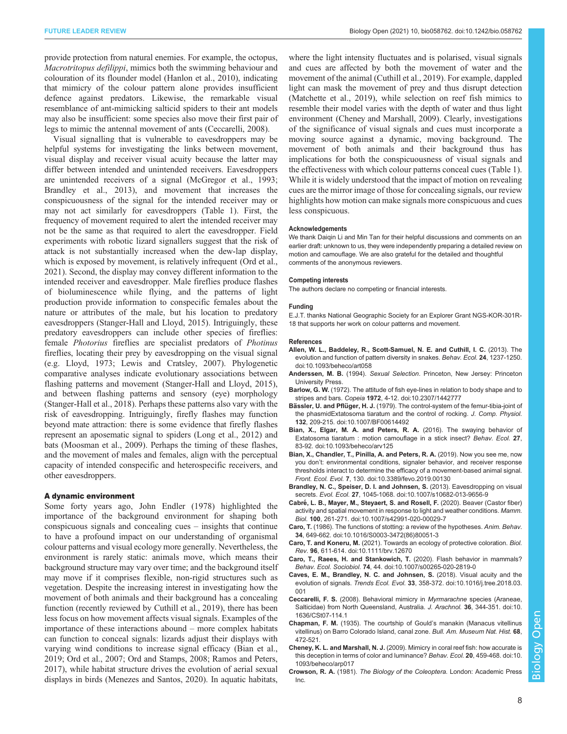<span id="page-7-0"></span>provide protection from natural enemies. For example, the octopus, Macrotritopus defilippi, mimics both the swimming behaviour and colouration of its flounder model [\(Hanlon et al., 2010](#page-8-0)), indicating that mimicry of the colour pattern alone provides insufficient defence against predators. Likewise, the remarkable visual resemblance of ant-mimicking salticid spiders to their ant models may also be insufficient: some species also move their first pair of legs to mimic the antennal movement of ants (Ceccarelli, 2008).

Visual signalling that is vulnerable to eavesdroppers may be helpful systems for investigating the links between movement, visual display and receiver visual acuity because the latter may differ between intended and unintended receivers. Eavesdroppers are unintended receivers of a signal ([McGregor et al., 1993](#page-9-0); Brandley et al., 2013), and movement that increases the conspicuousness of the signal for the intended receiver may or may not act similarly for eavesdroppers ([Table 1\)](#page-5-0). First, the frequency of movement required to alert the intended receiver may not be the same as that required to alert the eavesdropper. Field experiments with robotic lizard signallers suggest that the risk of attack is not substantially increased when the dew-lap display, which is exposed by movement, is relatively infrequent [\(Ord et al.,](#page-9-0) [2021](#page-9-0)). Second, the display may convey different information to the intended receiver and eavesdropper. Male fireflies produce flashes of bioluminescence while flying, and the patterns of light production provide information to conspecific females about the nature or attributes of the male, but his location to predatory eavesdroppers [\(Stanger-Hall and Lloyd, 2015](#page-10-0)). Intriguingly, these predatory eavesdroppers can include other species of fireflies: female Photorius fireflies are specialist predators of Photinus fireflies, locating their prey by eavesdropping on the visual signal (e.g. [Lloyd, 1973; Lewis and Cratsley, 2007\)](#page-9-0). Phylogenetic comparative analyses indicate evolutionary associations between flashing patterns and movement [\(Stanger-Hall and Lloyd, 2015\)](#page-10-0), and between flashing patterns and sensory (eye) morphology [\(Stanger-Hall et al., 2018](#page-10-0)). Perhaps these patterns also vary with the risk of eavesdropping. Intriguingly, firefly flashes may function beyond mate attraction: there is some evidence that firefly flashes represent an aposematic signal to spiders ([Long et al., 2012\)](#page-9-0) and bats [\(Moosman et al., 2009](#page-9-0)). Perhaps the timing of these flashes, and the movement of males and females, align with the perceptual capacity of intended conspecific and heterospecific receivers, and other eavesdroppers.

#### A dynamic environment

Some forty years ago, John [Endler \(1978\)](#page-8-0) highlighted the importance of the background environment for shaping both conspicuous signals and concealing cues – insights that continue to have a profound impact on our understanding of organismal colour patterns and visual ecology more generally. Nevertheless, the environment is rarely static: animals move, which means their background structure may vary over time; and the background itself may move if it comprises flexible, non-rigid structures such as vegetation. Despite the increasing interest in investigating how the movement of both animals and their background has a concealing function (recently reviewed by [Cuthill et al., 2019\)](#page-8-0), there has been less focus on how movement affects visual signals. Examples of the importance of these interactions abound – more complex habitats can function to conceal signals: lizards adjust their displays with varying wind conditions to increase signal efficacy (Bian et al., 2019; [Ord et al., 2007; Ord and Stamps, 2008](#page-9-0); [Ramos and Peters,](#page-9-0) [2017](#page-9-0)), while habitat structure drives the evolution of aerial sexual displays in birds ([Menezes and Santos, 2020](#page-9-0)). In aquatic habitats,

where the light intensity fluctuates and is polarised, visual signals and cues are affected by both the movement of water and the movement of the animal ([Cuthill et al., 2019](#page-8-0)). For example, dappled light can mask the movement of prey and thus disrupt detection [\(Matchette et al., 2019](#page-9-0)), while selection on reef fish mimics to resemble their model varies with the depth of water and thus light environment (Cheney and Marshall, 2009). Clearly, investigations of the significance of visual signals and cues must incorporate a moving source against a dynamic, moving background. The movement of both animals and their background thus has implications for both the conspicuousness of visual signals and the effectiveness with which colour patterns conceal cues ([Table 1\)](#page-5-0). While it is widely understood that the impact of motion on revealing cues are the mirror image of those for concealing signals, our review highlights how motion can make signals more conspicuous and cues less conspicuous.

#### Acknowledgements

We thank Daiqin Li and Min Tan for their helpful discussions and comments on an earlier draft: unknown to us, they were independently preparing a detailed review on motion and camouflage. We are also grateful for the detailed and thoughtful comments of the anonymous reviewers.

#### Competing interests

The authors declare no competing or financial interests.

#### Funding

E.J.T. thanks National Geographic Society for an Explorer Grant NGS-KOR-301R-18 that supports her work on colour patterns and movement.

#### References

- [Allen, W. L., Baddeley, R., Scott-Samuel, N. E. and Cuthill, I. C.](https://doi.org/10.1093/beheco/art058) (2013). The [evolution and function of pattern diversity in snakes.](https://doi.org/10.1093/beheco/art058) Behav. Ecol. 24, 1237-1250. [doi:10.1093/beheco/art058](https://doi.org/10.1093/beheco/art058)
- Anderssen, M. B. (1994). Sexual Selection. Princeton, New Jersey: Princeton University Press.
- Barlow, G. W. [\(1972\). The attitude of fish eye-lines in relation to body shape and to](https://doi.org/10.2307/1442777) stripes and bars. Copeia 1972[, 4-12. doi:10.2307/1442777](https://doi.org/10.2307/1442777)
- Bässler, U. and Pflüger, H. J. [\(1979\). The control-system of the femur-tibia-joint of](https://doi.org/10.1007/BF00614492) [the phasmidExtatosoma tiaratum and the control of rocking.](https://doi.org/10.1007/BF00614492) J. Comp. Physiol. 132[, 209-215. doi:10.1007/BF00614492](https://doi.org/10.1007/BF00614492)
- [Bian, X., Elgar, M. A. and Peters, R. A.](https://doi.org/10.1093/beheco/arv125) (2016). The swaying behavior of [Extatosoma tiaratum : motion camouflage in a stick insect?](https://doi.org/10.1093/beheco/arv125) Behav. Ecol. 27, [83-92. doi:10.1093/beheco/arv125](https://doi.org/10.1093/beheco/arv125)
- [Bian, X., Chandler, T., Pinilla, A. and Peters, R. A.](https://doi.org/10.3389/fevo.2019.00130) (2019). Now you see me, now you don'[t: environmental conditions, signaler behavior, and receiver response](https://doi.org/10.3389/fevo.2019.00130) [thresholds interact to determine the efficacy of a movement-based animal signal.](https://doi.org/10.3389/fevo.2019.00130) Front. Ecol. Evol. 7[, 130. doi:10.3389/fevo.2019.00130](https://doi.org/10.3389/fevo.2019.00130)
- [Brandley, N. C., Speiser, D. I. and Johnsen, S.](https://doi.org/10.1007/s10682-013-9656-9) (2013). Eavesdropping on visual secrets. Evol. Ecol. 27[, 1045-1068. doi:10.1007/s10682-013-9656-9](https://doi.org/10.1007/s10682-013-9656-9)
- Cabré[, L. B., Mayer, M., Steyaert, S. and Rosell, F.](https://doi.org/10.1007/s42991-020-00029-7) (2020). Beaver (Castor fiber) [activity and spatial movement in response to light and weather conditions.](https://doi.org/10.1007/s42991-020-00029-7) Mamm. Biol. 100[, 261-271. doi:10.1007/s42991-020-00029-7](https://doi.org/10.1007/s42991-020-00029-7)
- Caro, T. [\(1986\). The functions of stotting: a review of the hypotheses.](https://doi.org/10.1016/S0003-3472(86)80051-3) Anim. Behav. 34[, 649-662. doi:10.1016/S0003-3472\(86\)80051-3](https://doi.org/10.1016/S0003-3472(86)80051-3)
- Caro, T. and Koneru, M. [\(2021\). Towards an ecology of protective coloration.](https://doi.org/10.1111/brv.12670) Biol. Rev. 96[, 611-614. doi:10.1111/brv.12670](https://doi.org/10.1111/brv.12670)
- [Caro, T., Raees, H. and Stankowich, T.](https://doi.org/10.1007/s00265-020-2819-0) (2020). Flash behavior in mammals? Behav. Ecol. Sociobiol. 74[, 44. doi:10.1007/s00265-020-2819-0](https://doi.org/10.1007/s00265-020-2819-0)
- [Caves, E. M., Brandley, N. C. and Johnsen, S.](https://doi.org/10.1016/j.tree.2018.03.001) (2018). Visual acuity and the evolution of signals. Trends Ecol. Evol. 33[, 358-372. doi:10.1016/j.tree.2018.03.](https://doi.org/10.1016/j.tree.2018.03.001) [001](https://doi.org/10.1016/j.tree.2018.03.001)
- Ceccarelli, F. S. [\(2008\). Behavioral mimicry in](https://doi.org/10.1636/CSt07-114.1) Myrmarachne species (Araneae, [Salticidae\) from North Queensland, Australia.](https://doi.org/10.1636/CSt07-114.1) J. Arachnol. 36, 344-351. doi:10. [1636/CSt07-114.1](https://doi.org/10.1636/CSt07-114.1)
- Chapman, F. M. (1935). The courtship of Gould's manakin (Manacus vitellinus vitellinus) on Barro Colorado Island, canal zone. Bull. Am. Museum Nat. Hist. 68, 472-521.
- Cheney, K. L. and Marshall, N. J. [\(2009\). Mimicry in coral reef fish: how accurate is](https://doi.org/10.1093/beheco/arp017) [this deception in terms of color and luminance?](https://doi.org/10.1093/beheco/arp017) Behav. Ecol. 20, 459-468. doi:10. [1093/beheco/arp017](https://doi.org/10.1093/beheco/arp017)
- Crowson, R. A. (1981). The Biology of the Coleoptera. London: Academic Press Inc.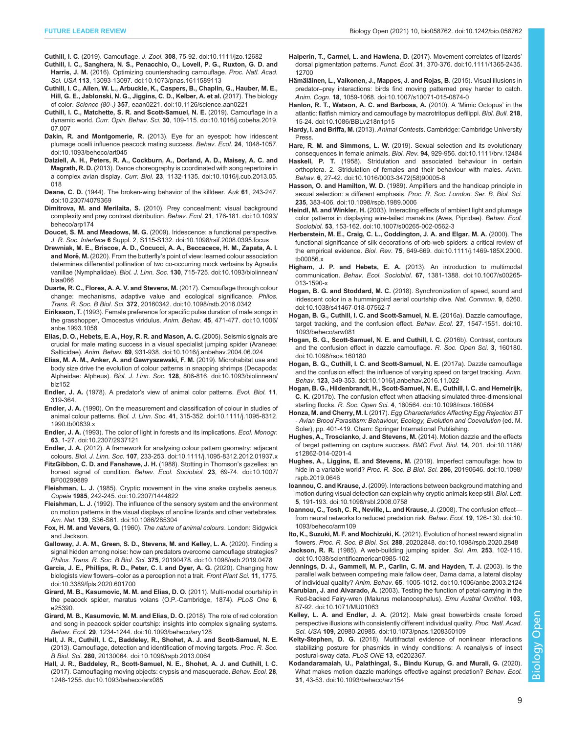- <span id="page-8-0"></span>Cuthill, I. C. (2019). Camouflage. J. Zool. 308[, 75-92. doi:10.1111/jzo.12682](https://doi.org/10.1111/jzo.12682)
- [Cuthill, I. C., Sanghera, N. S., Penacchio, O., Lovell, P. G., Ruxton, G. D. and](https://doi.org/10.1073/pnas.1611589113) Harris, J. M. [\(2016\). Optimizing countershading camouflage.](https://doi.org/10.1073/pnas.1611589113) Proc. Natl. Acad. Sci. USA 113[, 13093-13097. doi:10.1073/pnas.1611589113](https://doi.org/10.1073/pnas.1611589113)
- [Cuthill, I. C., Allen, W. L., Arbuckle, K., Caspers, B., Chaplin, G., Hauber, M. E.,](https://doi.org/10.1126/science.aan0221) [Hill, G. E., Jablonski, N. G., Jiggins, C. D., Kelber, A. et al.](https://doi.org/10.1126/science.aan0221) (2017). The biology of color. Science (80-.) 357[, eaan0221. doi:10.1126/science.aan0221](https://doi.org/10.1126/science.aan0221)
- [Cuthill, I. C., Matchette, S. R. and Scott-Samuel, N. E.](https://doi.org/10.1016/j.cobeha.2019.07.007) (2019). Camouflage in a dynamic world. Curr. Opin. Behav. Sci. 30[, 109-115. doi:10.1016/j.cobeha.2019.](https://doi.org/10.1016/j.cobeha.2019.07.007) [07.007](https://doi.org/10.1016/j.cobeha.2019.07.007)
- Dakin, R. and Montgomerie, R. [\(2013\). Eye for an eyespot: how iridescent](https://doi.org/10.1093/beheco/art045) [plumage ocelli influence peacock mating success.](https://doi.org/10.1093/beheco/art045) Behav. Ecol. 24, 1048-1057. [doi:10.1093/beheco/art045](https://doi.org/10.1093/beheco/art045)
- [Dalziell, A. H., Peters, R. A., Cockburn, A., Dorland, A. D., Maisey, A. C. and](https://doi.org/10.1016/j.cub.2013.05.018) Magrath, R. D. [\(2013\). Dance choreography is coordinated with song repertoire in](https://doi.org/10.1016/j.cub.2013.05.018) a complex avian display. Curr. Biol. 23[, 1132-1135. doi:10.1016/j.cub.2013.05.](https://doi.org/10.1016/j.cub.2013.05.018) [018](https://doi.org/10.1016/j.cub.2013.05.018)
- Deane, C. D. [\(1944\). The broken-wing behavior of the killdeer.](https://doi.org/10.2307/4079369) Auk 61, 243-247. [doi:10.2307/4079369](https://doi.org/10.2307/4079369)
- Dimitrova, M. and Merilaita, S. [\(2010\). Prey concealment: visual background](https://doi.org/10.1093/beheco/arp174) [complexity and prey contrast distribution.](https://doi.org/10.1093/beheco/arp174) Behav. Ecol. 21, 176-181. doi:10.1093/ [beheco/arp174](https://doi.org/10.1093/beheco/arp174)
- Doucet, S. M. and Meadows, M. G. [\(2009\). Iridescence: a functional perspective.](https://doi.org/10.1098/rsif.2008.0395.focus) J. R. Soc. Interface 6 [Suppl. 2, S115-S132. doi:10.1098/rsif.2008.0395.focus](https://doi.org/10.1098/rsif.2008.0395.focus)
- [Drewniak, M. E., Briscoe, A. D., Cocucci, A. A., Beccacece, H. M., Zapata, A. I.](https://doi.org/10.1093/biolinnean/blaa066) and Moré, M. (2020). From the butterfly'[s point of view: learned colour association](https://doi.org/10.1093/biolinnean/blaa066) [determines differential pollination of two co-occurring mock verbains by Agraulis](https://doi.org/10.1093/biolinnean/blaa066) vanillae (Nymphalidae). Biol. J. Linn. Soc. 130[, 715-725. doi:10.1093/biolinnean/](https://doi.org/10.1093/biolinnean/blaa066) [blaa066](https://doi.org/10.1093/biolinnean/blaa066)
- [Duarte, R. C., Flores, A. A. V. and Stevens, M.](https://doi.org/10.1098/rstb.2016.0342) (2017). Camouflage through colour [change: mechanisms, adaptive value and ecological significance.](https://doi.org/10.1098/rstb.2016.0342) Philos. Trans. R. Soc. B Biol. Sci. 372[, 20160342. doi:10.1098/rstb.2016.0342](https://doi.org/10.1098/rstb.2016.0342)
- Eiriksson, T. [\(1993\). Female preference for specific pulse duration of male songs in](https://doi.org/10.1006/anbe.1993.1058) [the grasshopper, Omocestus viridulus.](https://doi.org/10.1006/anbe.1993.1058) Anim. Behav. 45, 471-477. doi:10.1006/ [anbe.1993.1058](https://doi.org/10.1006/anbe.1993.1058)
- [Elias, D. O., Hebets, E. A., Hoy, R. R. and Mason, A. C.](https://doi.org/10.1016/j.anbehav.2004.06.024) (2005). Seismic signals are [crucial for male mating success in a visual specialist jumping spider \(Araneae:](https://doi.org/10.1016/j.anbehav.2004.06.024) Salticidae). Anim. Behav. 69[, 931-938. doi:10.1016/j.anbehav.2004.06.024](https://doi.org/10.1016/j.anbehav.2004.06.024)
- [Elias, M. A. M., Anker, A. and Gawryszewski, F. M.](https://doi.org/10.1093/biolinnean/blz152) (2019). Microhabitat use and [body size drive the evolution of colour patterns in snapping shrimps \(Decapoda:](https://doi.org/10.1093/biolinnean/blz152) Alpheidae: Alpheus). Biol. J. Linn. Soc. 128[, 806-816. doi:10.1093/biolinnean/](https://doi.org/10.1093/biolinnean/blz152) [blz152](https://doi.org/10.1093/biolinnean/blz152)
- Endler, J. A. (1978). A predator's view of animal color patterns. Evol. Biol. 11, 319-364.
- Endler, J. A. [\(1990\). On the measurement and classification of colour in studies of](https://doi.org/10.1111/j.1095-8312.1990.tb00839.x) animal colour patterns. Biol. J. Linn. Soc. 41[, 315-352. doi:10.1111/j.1095-8312.](https://doi.org/10.1111/j.1095-8312.1990.tb00839.x) [1990.tb00839.x](https://doi.org/10.1111/j.1095-8312.1990.tb00839.x)
- Endler, J. A. [\(1993\). The color of light in forests and its implications.](https://doi.org/10.2307/2937121) Ecol. Monogr. 63[, 1-27. doi:10.2307/2937121](https://doi.org/10.2307/2937121)
- Endler, J. A. [\(2012\). A framework for analysing colour pattern geometry: adjacent](https://doi.org/10.1111/j.1095-8312.2012.01937.x) colours. Biol. J. Linn. Soc. 107[, 233-253. doi:10.1111/j.1095-8312.2012.01937.x](https://doi.org/10.1111/j.1095-8312.2012.01937.x)
- [FitzGibbon, C. D. and Fanshawe, J. H.](https://doi.org/10.1007/BF00299889) (1988). Stotting in Thomson's gazelles: an [honest signal of condition.](https://doi.org/10.1007/BF00299889) Behav. Ecol. Sociobiol. 23, 69-74. doi:10.1007/ [BF00299889](https://doi.org/10.1007/BF00299889)
- Fleishman, L. J. [\(1985\). Cryptic movement in the vine snake oxybelis aeneus.](https://doi.org/10.2307/1444822) Copeia 1985[, 242-245. doi:10.2307/1444822](https://doi.org/10.2307/1444822)
- Fleishman, L. J. [\(1992\). The influence of the sensory system and the environment](https://doi.org/10.1086/285304) [on motion patterns in the visual displays of anoline lizards and other vertebrates.](https://doi.org/10.1086/285304) Am. Nat. 139[, S36-S61. doi:10.1086/285304](https://doi.org/10.1086/285304)
- Fox, H. M. and Vevers, G. (1960). The nature of animal colours. London: Sidgwick and Jackson.
- [Galloway, J. A. M., Green, S. D., Stevens, M. and Kelley, L. A.](https://doi.org/10.1098/rstb.2019.0478) (2020). Finding a [signal hidden among noise: how can predators overcome camouflage strategies?](https://doi.org/10.1098/rstb.2019.0478) Philos. Trans. R. Soc. B Biol. Sci. 375[, 20190478. doi:10.1098/rstb.2019.0478](https://doi.org/10.1098/rstb.2019.0478)
- [Garcia, J. E., Phillips, R. D., Peter, C. I. and Dyer, A. G.](https://doi.org/10.3389/fpls.2020.601700) (2020). Changing how biologists view flowers–[color as a perception not a trait.](https://doi.org/10.3389/fpls.2020.601700) Front Plant Sci. 11, 1775. [doi:10.3389/fpls.2020.601700](https://doi.org/10.3389/fpls.2020.601700)
- Girard, M. B., Kasumovic, M. M. and Elias, D. O. (2011). Multi-modal courtship in the peacock spider, maratus volans (O.P.-Cambridge, 1874). PLoS One 6, e25390.
- [Girard, M. B., Kasumovic, M. M. and Elias, D. O.](https://doi.org/10.1093/beheco/ary128) (2018). The role of red coloration [and song in peacock spider courtship: insights into complex signaling systems.](https://doi.org/10.1093/beheco/ary128) Behav. Ecol. 29[, 1234-1244. doi:10.1093/beheco/ary128](https://doi.org/10.1093/beheco/ary128)
- [Hall, J. R., Cuthill, I. C., Baddeley, R., Shohet, A. J. and Scott-Samuel, N. E.](https://doi.org/10.1098/rspb.2013.0064) [\(2013\). Camouflage, detection and identification of moving targets.](https://doi.org/10.1098/rspb.2013.0064) Proc. R. Soc. B Biol. Sci. 280[, 20130064. doi:10.1098/rspb.2013.0064](https://doi.org/10.1098/rspb.2013.0064)
- [Hall, J. R., Baddeley, R., Scott-Samuel, N. E., Shohet, A. J. and Cuthill, I. C.](https://doi.org/10.1093/beheco/arx085) [\(2017\). Camouflaging moving objects: crypsis and masquerade.](https://doi.org/10.1093/beheco/arx085) Behav. Ecol. 28, [1248-1255. doi:10.1093/beheco/arx085](https://doi.org/10.1093/beheco/arx085)
- [Halperin, T., Carmel, L. and Hawlena, D.](https://doi.org/10.1111/1365-2435.12700) (2017). Movement correlates of lizards' dorsal pigmentation patterns. Funct. Ecol. 31[, 370-376. doi:10.1111/1365-2435.](https://doi.org/10.1111/1365-2435.12700) [12700](https://doi.org/10.1111/1365-2435.12700)
- Hämälä[inen, L., Valkonen, J., Mappes, J. and Rojas, B.](https://doi.org/10.1007/s10071-015-0874-0) (2015). Visual illusions in predator–[prey interactions: birds find moving patterned prey harder to catch.](https://doi.org/10.1007/s10071-015-0874-0) Anim. Cogn. 18[, 1059-1068. doi:10.1007/s10071-015-0874-0](https://doi.org/10.1007/s10071-015-0874-0)
- [Hanlon, R. T., Watson, A. C. and Barbosa, A.](https://doi.org/10.1086/BBLv218n1p15) (2010). A 'Mimic Octopus' in the [atlantic: flatfish mimicry and camouflage by macrotritopus defilippi.](https://doi.org/10.1086/BBLv218n1p15) Biol. Bull. 218, [15-24. doi:10.1086/BBLv218n1p15](https://doi.org/10.1086/BBLv218n1p15)
- Hardy, I. and Briffa, M. (2013). Animal Contests. Cambridge: Cambridge University Press.
- Hare, R. M. and Simmons, L. W. [\(2019\). Sexual selection and its evolutionary](https://doi.org/10.1111/brv.12484) [consequences in female animals.](https://doi.org/10.1111/brv.12484) Biol. Rev. 94, 929-956. doi:10.1111/brv.12484
- Haskell, P. T. [\(1958\). Stridulation and associated behaviour in certain](https://doi.org/10.1016/0003-3472(58)90005-8) [orthoptera. 2. Stridulation of females and their behaviour with males.](https://doi.org/10.1016/0003-3472(58)90005-8) Anim. Behav. 6[, 27-42. doi:10.1016/0003-3472\(58\)90005-8](https://doi.org/10.1016/0003-3472(58)90005-8)
- Hasson, O. and Hamilton, W. D. [\(1989\). Amplifiers and the handicap principle in](https://doi.org/10.1098/rspb.1989.0006) sexual selection: a different emphasis. [Proc. R. Soc. London. Ser. B. Biol. Sci.](https://doi.org/10.1098/rspb.1989.0006) 235[, 383-406. doi:10.1098/rspb.1989.0006](https://doi.org/10.1098/rspb.1989.0006)
- Heindl, M. and Winkler, H. [\(2003\). Interacting effects of ambient light and plumage](https://doi.org/10.1007/s00265-002-0562-3) [color patterns in displaying wire-tailed manakins \(Aves, Pipridae\).](https://doi.org/10.1007/s00265-002-0562-3) Behav. Ecol. Sociobiol. 53[, 153-162. doi:10.1007/s00265-002-0562-3](https://doi.org/10.1007/s00265-002-0562-3)
- [Herberstein, M. E., Craig, C. L., Coddington, J. A. and Elgar, M. A.](https://doi.org/10.1111/j.1469-185X.2000.tb00056.x) (2000). The [functional significance of silk decorations of orb-web spiders: a critical review of](https://doi.org/10.1111/j.1469-185X.2000.tb00056.x) the empirical evidence. Biol. Rev. 75[, 649-669. doi:10.1111/j.1469-185X.2000.](https://doi.org/10.1111/j.1469-185X.2000.tb00056.x) [tb00056.x](https://doi.org/10.1111/j.1469-185X.2000.tb00056.x)
- Higham, J. P. and Hebets, E. A. [\(2013\). An introduction to multimodal](https://doi.org/10.1007/s00265-013-1590-x) communication. Behav. Ecol. Sociobiol. 67[, 1381-1388. doi:10.1007/s00265-](https://doi.org/10.1007/s00265-013-1590-x) [013-1590-x](https://doi.org/10.1007/s00265-013-1590-x)
- Hogan, B. G. and Stoddard, M. C. [\(2018\). Synchronization of speed, sound and](https://doi.org/10.1038/s41467-018-07562-7) [iridescent color in a hummingbird aerial courtship dive.](https://doi.org/10.1038/s41467-018-07562-7) Nat. Commun. 9, 5260. [doi:10.1038/s41467-018-07562-7](https://doi.org/10.1038/s41467-018-07562-7)
- [Hogan, B. G., Cuthill, I. C. and Scott-Samuel, N. E.](https://doi.org/10.1093/beheco/arw081) (2016a). Dazzle camouflage, [target tracking, and the confusion effect.](https://doi.org/10.1093/beheco/arw081) Behav. Ecol. 27, 1547-1551. doi:10. [1093/beheco/arw081](https://doi.org/10.1093/beheco/arw081)
- [Hogan, B. G., Scott-Samuel, N. E. and Cuthill, I. C.](https://doi.org/10.1098/rsos.160180) (2016b). Contrast, contours [and the confusion effect in dazzle camouflage.](https://doi.org/10.1098/rsos.160180) R. Soc. Open Sci. 3, 160180. [doi:10.1098/rsos.160180](https://doi.org/10.1098/rsos.160180)
- [Hogan, B. G., Cuthill, I. C. and Scott-Samuel, N. E.](https://doi.org/10.1016/j.anbehav.2016.11.022) (2017a). Dazzle camouflage [and the confusion effect: the influence of varying speed on target tracking.](https://doi.org/10.1016/j.anbehav.2016.11.022) Anim. Behav. 123[, 349-353. doi:10.1016/j.anbehav.2016.11.022](https://doi.org/10.1016/j.anbehav.2016.11.022)
- [Hogan, B. G., Hildenbrandt, H., Scott-Samuel, N. E., Cuthill, I. C. and Hemelrijk,](https://doi.org/10.1098/rsos.160564) C. K. [\(2017b\). The confusion effect when attacking simulated three-dimensional](https://doi.org/10.1098/rsos.160564) starling flocks. R. Soc. Open Sci. 4[, 160564. doi:10.1098/rsos.160564](https://doi.org/10.1098/rsos.160564)
- Honza, M. and Cherry, M. I. (2017). Egg Characteristics Affecting Egg Rejection BT - Avian Brood Parasitism: Behaviour, Ecology, Evolution and Coevolution (ed. M. Soler), pp. 401-419. Cham: Springer International Publishing.
- [Hughes, A., Troscianko, J. and Stevens, M.](https://doi.org/10.1186/s12862-014-0201-4) (2014). Motion dazzle and the effects [of target patterning on capture success.](https://doi.org/10.1186/s12862-014-0201-4) BMC Evol. Biol. 14, 201. doi:10.1186/ [s12862-014-0201-4](https://doi.org/10.1186/s12862-014-0201-4)
- [Hughes, A., Liggins, E. and Stevens, M.](https://doi.org/10.1098/rspb.2019.0646) (2019). Imperfect camouflage: how to hide in a variable world? Proc. R. Soc. B Biol. Sci. 286[, 20190646. doi:10.1098/](https://doi.org/10.1098/rspb.2019.0646) [rspb.2019.0646](https://doi.org/10.1098/rspb.2019.0646)
- Ioannou, C. and Krause, J. [\(2009\). Interactions between background matching and](https://doi.org/10.1098/rsbl.2008.0758) [motion during visual detection can explain why cryptic animals keep still.](https://doi.org/10.1098/rsbl.2008.0758) Biol. Lett. 5[, 191-193. doi:10.1098/rsbl.2008.0758](https://doi.org/10.1098/rsbl.2008.0758)
- [Ioannou, C., Tosh, C. R., Neville, L. and Krause, J.](https://doi.org/10.1093/beheco/arm109) (2008). The confusion effect [from neural networks to reduced predation risk.](https://doi.org/10.1093/beheco/arm109) Behav. Ecol. 19, 126-130. doi:10. [1093/beheco/arm109](https://doi.org/10.1093/beheco/arm109)
- Ito, K., Suzuki, M. F. and Mochizuki, K. [\(2021\). Evolution of honest reward signal in](https://doi.org/10.1098/rspb.2020.2848) flowers. Proc. R. Soc. B Biol. Sci. 288[, 20202848. doi:10.1098/rspb.2020.2848](https://doi.org/10.1098/rspb.2020.2848)
- Jackson, R. R. [\(1985\). A web-building jumping spider.](https://doi.org/10.1038/scientificamerican0985-102) Sci. Am. 253, 102-115. [doi:10.1038/scientificamerican0985-102](https://doi.org/10.1038/scientificamerican0985-102)
- [Jennings, D. J., Gammell, M. P., Carlin, C. M. and Hayden, T. J.](https://doi.org/10.1006/anbe.2003.2124) (2003). Is the [parallel walk between competing male fallow deer, Dama dama, a lateral display](https://doi.org/10.1006/anbe.2003.2124) of individual quality? Anim. Behav. 65[, 1005-1012. doi:10.1006/anbe.2003.2124](https://doi.org/10.1006/anbe.2003.2124)
- Karubian, J. and Alvarado, A. [\(2003\). Testing the function of petal-carrying in the](https://doi.org/10.1071/MU01063) [Red-backed Fairy-wren \(Malurus melanocephalus\).](https://doi.org/10.1071/MU01063) Emu Austral Ornithol. 103, [87-92. doi:10.1071/MU01063](https://doi.org/10.1071/MU01063)
- Kelley, L. A. and Endler, J. A. [\(2012\). Male great bowerbirds create forced](https://doi.org/10.1073/pnas.1208350109) [perspective illusions with consistently different individual quality.](https://doi.org/10.1073/pnas.1208350109) Proc. Natl. Acad. Sci. USA 109[, 20980-20985. doi:10.1073/pnas.1208350109](https://doi.org/10.1073/pnas.1208350109)
- Kelty-Stephen, D. G. (2018). Multifractal evidence of nonlinear interactions stabilizing posture for phasmids in windy conditions: A reanalysis of insect postural-sway data. PLoS ONE 13, e0202367.
- [Kodandaramaiah, U., Palathingal, S., Bindu Kurup, G. and Murali, G.](https://doi.org/10.1093/beheco/arz154) (2020). [What makes motion dazzle markings effective against predation?](https://doi.org/10.1093/beheco/arz154) Behav. Ecol. 31[, 43-53. doi:10.1093/beheco/arz154](https://doi.org/10.1093/beheco/arz154)

Biology Open

Biology

Open

9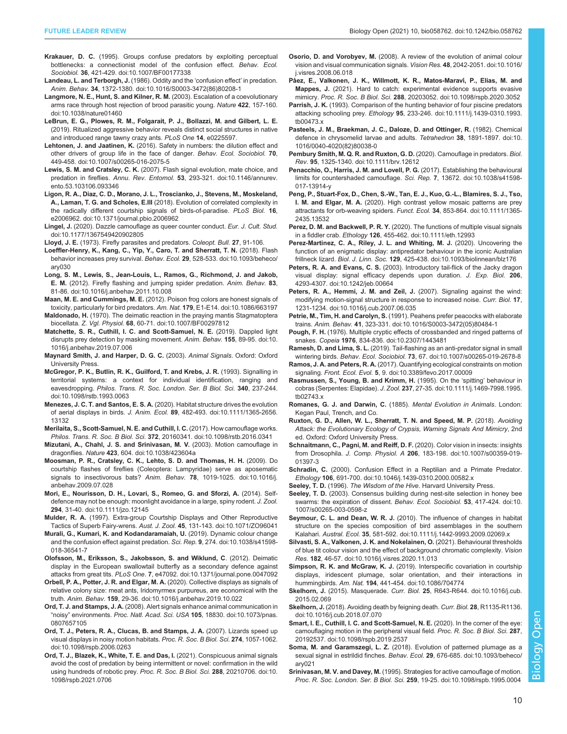- <span id="page-9-0"></span>Krakauer, D. C. [\(1995\). Groups confuse predators by exploiting perceptual](https://doi.org/10.1007/BF00177338) [bottlenecks: a connectionist model of the confusion effect.](https://doi.org/10.1007/BF00177338) Behav. Ecol. Sociobiol. 36[, 421-429. doi:10.1007/BF00177338](https://doi.org/10.1007/BF00177338)
- [Landeau, L. and Terborgh, J.](https://doi.org/10.1016/S0003-3472(86)80208-1) (1986). Oddity and the 'confusion effect' in predation. Anim. Behav. 34[, 1372-1380. doi:10.1016/S0003-3472\(86\)80208-1](https://doi.org/10.1016/S0003-3472(86)80208-1)
- [Langmore, N. E., Hunt, S. and Kilner, R. M.](https://doi.org/10.1038/nature01460) (2003). Escalation of a coevolutionary [arms race through host rejection of brood parasitic young.](https://doi.org/10.1038/nature01460) Nature 422, 157-160. [doi:10.1038/nature01460](https://doi.org/10.1038/nature01460)
- LeBrun, E. G., Plowes, R. M., Folgarait, P. J., Bollazzi, M. and Gilbert, L. E. (2019). Ritualized aggressive behavior reveals distinct social structures in native and introduced range tawny crazy ants. PLoS One 14, e0225597.
- Lehtonen, J. and Jaatinen, K. [\(2016\). Safety in numbers: the dilution effect and](https://doi.org/10.1007/s00265-016-2075-5) [other drivers of group life in the face of danger.](https://doi.org/10.1007/s00265-016-2075-5) Behav. Ecol. Sociobiol. 70, [449-458. doi:10.1007/s00265-016-2075-5](https://doi.org/10.1007/s00265-016-2075-5)
- Lewis, S. M. and Cratsley, C. K. [\(2007\). Flash signal evolution, mate choice, and](https://doi.org/10.1146/annurev.ento.53.103106.093346) predation in fireflies. Annu. Rev. Entomol. 53[, 293-321. doi:10.1146/annurev.](https://doi.org/10.1146/annurev.ento.53.103106.093346) [ento.53.103106.093346](https://doi.org/10.1146/annurev.ento.53.103106.093346)
- [Ligon, R. A., Diaz, C. D., Morano, J. L., Troscianko, J., Stevens, M., Moskeland,](https://doi.org/10.1371/journal.pbio.2006962) A., Laman, T. G. and Scholes, E.III [\(2018\). Evolution of correlated complexity in](https://doi.org/10.1371/journal.pbio.2006962) [the radically different courtship signals of birds-of-paradise.](https://doi.org/10.1371/journal.pbio.2006962) PLoS Biol. 16, [e2006962. doi:10.1371/journal.pbio.2006962](https://doi.org/10.1371/journal.pbio.2006962)
- Lingel, J. [\(2020\). Dazzle camouflage as queer counter conduct.](https://doi.org/10.1177/1367549420902805) Eur. J. Cult. Stud. [doi:10.1177/1367549420902805](https://doi.org/10.1177/1367549420902805)

Lloyd, J. E. (1973). Firefly parasites and predators. Coleopt. Bull. 27, 91-106.

- [Loeffler-Henry, K., Kang, C., Yip, Y., Caro, T. and Sherratt, T. N.](https://doi.org/10.1093/beheco/ary030) (2018). Flash [behavior increases prey survival.](https://doi.org/10.1093/beheco/ary030) Behav. Ecol. 29, 528-533. doi:10.1093/beheco/ [ary030](https://doi.org/10.1093/beheco/ary030)
- [Long, S. M., Lewis, S., Jean-Louis, L., Ramos, G., Richmond, J. and Jakob,](https://doi.org/10.1016/j.anbehav.2011.10.008) E. M. [\(2012\). Firefly flashing and jumping spider predation.](https://doi.org/10.1016/j.anbehav.2011.10.008) Anim. Behav. 83, [81-86. doi:10.1016/j.anbehav.2011.10.008](https://doi.org/10.1016/j.anbehav.2011.10.008)
- Maan, M. E. and Cummings, M. E. [\(2012\). Poison frog colors are honest signals of](https://doi.org/10.1086/663197) [toxicity, particularly for bird predators.](https://doi.org/10.1086/663197) Am. Nat. 179, E1-E14. doi:10.1086/663197
- Maldonado, H. [\(1970\). The deimatic reaction in the praying mantis Stagmatoptera](https://doi.org/10.1007/BF00297812) biocellata. Z. Vgl. Physiol. 68[, 60-71. doi:10.1007/BF00297812](https://doi.org/10.1007/BF00297812)
- [Matchette, S. R., Cuthill, I. C. and Scott-Samuel, N. E.](https://doi.org/10.1016/j.anbehav.2019.07.006) (2019). Dappled light [disrupts prey detection by masking movement.](https://doi.org/10.1016/j.anbehav.2019.07.006) Anim. Behav. 155, 89-95. doi:10. [1016/j.anbehav.2019.07.006](https://doi.org/10.1016/j.anbehav.2019.07.006)
- Maynard Smith, J. and Harper, D. G. C. (2003). Animal Signals. Oxford: Oxford University Press.
- [McGregor, P. K., Butlin, R. K., Guilford, T. and Krebs, J. R.](https://doi.org/10.1098/rstb.1993.0063) (1993). Signalling in [territorial systems: a context for individual identification, ranging and](https://doi.org/10.1098/rstb.1993.0063) eavesdropping. [Philos. Trans. R. Soc. London. Ser. B Biol. Sci.](https://doi.org/10.1098/rstb.1993.0063) 340, 237-244. [doi:10.1098/rstb.1993.0063](https://doi.org/10.1098/rstb.1993.0063)
- Menezes, J. C. T. and Santos, E. S. A. [\(2020\). Habitat structure drives the evolution](https://doi.org/10.1111/1365-2656.13132) of aerial displays in birds. J. Anim. Ecol. 89[, 482-493. doi:10.1111/1365-2656.](https://doi.org/10.1111/1365-2656.13132) [13132](https://doi.org/10.1111/1365-2656.13132)
- [Merilaita, S., Scott-Samuel, N. E. and Cuthill, I. C.](https://doi.org/10.1098/rstb.2016.0341) (2017). How camouflage works. Philos. Trans. R. Soc. B Biol. Sci. 372[, 20160341. doi:10.1098/rstb.2016.0341](https://doi.org/10.1098/rstb.2016.0341)
- [Mizutani, A., Chahl, J. S. and Srinivasan, M. V.](https://doi.org/10.1038/423604a) (2003). Motion camouflage in dragonflies. Nature 423[, 604. doi:10.1038/423604a](https://doi.org/10.1038/423604a)
- [Moosman, P. R., Cratsley, C. K., Lehto, S. D. and Thomas, H. H.](https://doi.org/10.1016/j.anbehav.2009.07.028) (2009). Do [courtship flashes of fireflies \(Coleoptera: Lampyridae\) serve as aposematic](https://doi.org/10.1016/j.anbehav.2009.07.028) [signals to insectivorous bats?](https://doi.org/10.1016/j.anbehav.2009.07.028) Anim. Behav. 78, 1019-1025. doi:10.1016/j. [anbehav.2009.07.028](https://doi.org/10.1016/j.anbehav.2009.07.028)
- [Mori, E., Nourisson, D. H., Lovari, S., Romeo, G. and Sforzi, A.](https://doi.org/10.1111/jzo.12145) (2014). Self[defence may not be enough: moonlight avoidance in a large, spiny rodent.](https://doi.org/10.1111/jzo.12145) J. Zool. 294[, 31-40. doi:10.1111/jzo.12145](https://doi.org/10.1111/jzo.12145)

Mulder, R. A. [\(1997\). Extra-group Courtship Displays and Other Reproductive](https://doi.org/10.1071/ZO96041) Tactics of Superb Fairy-wrens. Aust. J. Zool. 45[, 131-143. doi:10.1071/ZO96041](https://doi.org/10.1071/ZO96041)

- [Murali, G., Kumari, K. and Kodandaramaiah, U.](https://doi.org/10.1038/s41598-018-36541-7) (2019). Dynamic colour change [and the confusion effect against predation.](https://doi.org/10.1038/s41598-018-36541-7) Sci. Rep. 9, 274. doi:10.1038/s41598- [018-36541-7](https://doi.org/10.1038/s41598-018-36541-7)
- [Olofsson, M., Eriksson, S., Jakobsson, S. and Wiklund, C](https://doi.org/10.1371/journal.pone.0047092). (2012). Deimatic [display in the European swallowtail butterfly as a secondary defence against](https://doi.org/10.1371/journal.pone.0047092) attacks from great tits. PLoS One. 7[, e47092. doi:10.1371/journal.pone.0047092](https://doi.org/10.1371/journal.pone.0047092)
- [Orbell, P. A., Potter, J. R. and Elgar, M. A.](https://doi.org/10.1016/j.anbehav.2019.10.022) (2020). Collective displays as signals of [relative colony size: meat ants, Iridomyrmex purpureus, are economical with the](https://doi.org/10.1016/j.anbehav.2019.10.022) truth. Anim. Behav. 159[, 29-36. doi:10.1016/j.anbehav.2019.10.022](https://doi.org/10.1016/j.anbehav.2019.10.022)
- Ord, T. J. and Stamps, J. A. [\(2008\). Alert signals enhance animal communication in](https://doi.org/10.1073/pnas.0807657105) "noisy" environments. Proc. Natl. Acad. Sci. USA 105[, 18830. doi:10.1073/pnas.](https://doi.org/10.1073/pnas.0807657105) [0807657105](https://doi.org/10.1073/pnas.0807657105)
- [Ord, T. J., Peters, R. A., Clucas, B. and Stamps, J. A.](https://doi.org/10.1098/rspb.2006.0263) (2007). Lizards speed up [visual displays in noisy motion habitats.](https://doi.org/10.1098/rspb.2006.0263) Proc. R. Soc. B Biol. Sci. 274, 1057-1062. [doi:10.1098/rspb.2006.0263](https://doi.org/10.1098/rspb.2006.0263)
- [Ord, T. J., Blazek, K., White, T. E. and Das, I.](https://doi.org/10.1098/rspb.2021.0706) (2021). Conspicuous animal signals [avoid the cost of predation by being intermittent or novel: confirmation in the wild](https://doi.org/10.1098/rspb.2021.0706) [using hundreds of robotic prey.](https://doi.org/10.1098/rspb.2021.0706) Proc. R. Soc. B Biol. Sci. 288, 20210706. doi:10. [1098/rspb.2021.0706](https://doi.org/10.1098/rspb.2021.0706)
- Osorio, D. and Vorobyev, M. [\(2008\). A review of the evolution of animal colour](https://doi.org/10.1016/j.visres.2008.06.018) [vision and visual communication signals.](https://doi.org/10.1016/j.visres.2008.06.018) Vision Res. 48, 2042-2051. doi:10.1016/ [j.visres.2008.06.018](https://doi.org/10.1016/j.visres.2008.06.018)
- Pá[ez, E., Valkonen, J. K., Willmott, K. R., Matos-Marav](https://doi.org/10.1098/rspb.2020.3052)í, P., Elias, M. and Mappes, J. [\(2021\). Hard to catch: experimental evidence supports evasive](https://doi.org/10.1098/rspb.2020.3052) mimicry. Proc. R. Soc. B Biol. Sci. 288[, 20203052. doi:10.1098/rspb.2020.3052](https://doi.org/10.1098/rspb.2020.3052)
- Parrish, J. K. [\(1993\). Comparison of the hunting behavior of four piscine predators](https://doi.org/10.1111/j.1439-0310.1993.tb00473.x) attacking schooling prey. Ethology 95[, 233-246. doi:10.1111/j.1439-0310.1993.](https://doi.org/10.1111/j.1439-0310.1993.tb00473.x) [tb00473.x](https://doi.org/10.1111/j.1439-0310.1993.tb00473.x)
- [Pasteels, J. M., Braekman, J. C., Daloze, D. and Ottinger, R.](https://doi.org/10.1016/0040-4020(82)80038-0) (1982). Chemical [defence in chrysomelid larvae and adults.](https://doi.org/10.1016/0040-4020(82)80038-0) Tetrahedron 38, 1891-1897. doi:10. [1016/0040-4020\(82\)80038-0](https://doi.org/10.1016/0040-4020(82)80038-0)
- [Pembury Smith, M. Q. R. and Ruxton, G. D.](https://doi.org/10.1111/brv.12612) (2020). Camouflage in predators. Biol. Rev. 95[, 1325-1340. doi:10.1111/brv.12612](https://doi.org/10.1111/brv.12612)
- [Penacchio, O., Harris, J. M. and Lovell, P. G.](https://doi.org/10.1038/s41598-017-13914-y) (2017). Establishing the behavioural [limits for countershaded camouflage.](https://doi.org/10.1038/s41598-017-13914-y) Sci. Rep. 7, 13672. doi:10.1038/s41598- [017-13914-y](https://doi.org/10.1038/s41598-017-13914-y)
- [Peng, P., Stuart-Fox, D., Chen, S.-W., Tan, E. J., Kuo, G.-L., Blamires, S. J., Tso,](https://doi.org/10.1111/1365-2435.13532) I. M. and Elgar, M. A. [\(2020\). High contrast yellow mosaic patterns are prey](https://doi.org/10.1111/1365-2435.13532) [attractants for orb-weaving spiders.](https://doi.org/10.1111/1365-2435.13532) Funct. Ecol. 34, 853-864. doi:10.1111/1365- [2435.13532](https://doi.org/10.1111/1365-2435.13532)
- Perez, D. M. and Backwell, P. R. Y. [\(2020\). The functions of multiple visual signals](https://doi.org/10.1111/eth.12993) in a fiddler crab. Ethology 126[, 455-462. doi:10.1111/eth.12993](https://doi.org/10.1111/eth.12993)
- [Perez-Martinez, C. A., Riley, J. L. and Whiting, M. J.](https://doi.org/10.1093/biolinnean/blz176) (2020). Uncovering the [function of an enigmatic display: antipredator behaviour in the iconic Australian](https://doi.org/10.1093/biolinnean/blz176) frillneck lizard. Biol. J. Linn. Soc. 129[, 425-438. doi:10.1093/biolinnean/blz176](https://doi.org/10.1093/biolinnean/blz176)
- Peters, R. A. and Evans, C. S. [\(2003\). Introductory tail-flick of the Jacky dragon](https://doi.org/10.1242/jeb.00664) [visual display: signal efficacy depends upon duration.](https://doi.org/10.1242/jeb.00664) J. Exp. Biol. 206, [4293-4307. doi:10.1242/jeb.00664](https://doi.org/10.1242/jeb.00664)
- [Peters, R. A., Hemmi, J. M. and Zeil, J.](https://doi.org/10.1016/j.cub.2007.06.035) (2007). Signaling against the wind: [modifying motion-signal structure in response to increased noise.](https://doi.org/10.1016/j.cub.2007.06.035) Curr. Biol. 17, [1231-1234. doi:10.1016/j.cub.2007.06.035](https://doi.org/10.1016/j.cub.2007.06.035)
- Petrie, M., Tim, H. and Carolyn, S. [\(1991\). Peahens prefer peacocks with elaborate](https://doi.org/10.1016/S0003-3472(05)80484-1) trains. Anim. Behav. 41[, 323-331. doi:10.1016/S0003-3472\(05\)80484-1](https://doi.org/10.1016/S0003-3472(05)80484-1)
- Pough, F. H. [\(1976\). Multiple cryptic effects of crossbanded and ringed patterns of](https://doi.org/10.2307/1443481) snakes. Copeia 1976[, 834-836. doi:10.2307/1443481](https://doi.org/10.2307/1443481)
- Ramesh, D. and Lima, S. L. [\(2019\). Tail-flashing as an anti-predator signal in small](https://doi.org/10.1007/s00265-019-2678-8) wintering birds. Behav. Ecol. Sociobiol. 73[, 67. doi:10.1007/s00265-019-2678-8](https://doi.org/10.1007/s00265-019-2678-8)
- Ramos, J. A. and Peters, R. A. [\(2017\). Quantifying ecological constraints on motion](https://doi.org/10.3389/fevo.2017.00009) signaling. Front. Ecol. Evol. 5[, 9. doi:10.3389/fevo.2017.00009](https://doi.org/10.3389/fevo.2017.00009)
- [Rasmussen, S., Young, B. and Krimm, H.](https://doi.org/10.1111/j.1469-7998.1995.tb02743.x) (1995). On the 'spitting' behaviour in cobras (Serpentes: Elapidae). J. Zool. 237[, 27-35. doi:10.1111/j.1469-7998.1995.](https://doi.org/10.1111/j.1469-7998.1995.tb02743.x) [tb02743.x](https://doi.org/10.1111/j.1469-7998.1995.tb02743.x)
- Romanes, G. J. and Darwin, C. (1885). Mental Evolution in Animals. London: Kegan Paul, Trench, and Co.
- Ruxton, G. D., Allen, W. L., Sherratt, T. N. and Speed, M. P. (2018). Avoiding Attack: the Evolutionary Ecology of Crypsis, Warning Signals And Mimicry, 2nd ed. Oxford: Oxford University Press.
- [Schnaitmann, C., Pagni, M. and Reiff, D. F.](https://doi.org/10.1007/s00359-019-01397-3) (2020). Color vision in insects: insights from Drosophila. J. Comp. Physiol. A 206[, 183-198. doi:10.1007/s00359-019-](https://doi.org/10.1007/s00359-019-01397-3) [01397-3](https://doi.org/10.1007/s00359-019-01397-3)
- Schradin, C. [\(2000\). Confusion Effect in a Reptilian and a Primate Predator.](https://doi.org/10.1046/j.1439-0310.2000.00582.x) Ethology 106[, 691-700. doi:10.1046/j.1439-0310.2000.00582.x](https://doi.org/10.1046/j.1439-0310.2000.00582.x)

Seeley, T. D. (1996). The Wisdom of the Hive. Harvard University Press.

- Seeley, T. D. [\(2003\). Consensus building during nest-site selection in honey bee](https://doi.org/10.1007/s00265-003-0598-z) [swarms: the expiration of dissent.](https://doi.org/10.1007/s00265-003-0598-z) Behav. Ecol. Sociobiol. 53, 417-424. doi:10. [1007/s00265-003-0598-z](https://doi.org/10.1007/s00265-003-0598-z)
- Seymour, C. L. and Dean, W. R. J. [\(2010\). The influence of changes in habitat](https://doi.org/10.1111/j.1442-9993.2009.02069.x) [structure on the species composition of bird assemblages in the southern](https://doi.org/10.1111/j.1442-9993.2009.02069.x) Kalahari. Austral. Ecol. 35[, 581-592. doi:10.1111/j.1442-9993.2009.02069.x](https://doi.org/10.1111/j.1442-9993.2009.02069.x)
- [Silvasti, S. A., Valkonen, J. K. and Nokelainen, O.](https://doi.org/10.1016/j.visres.2020.11.013) (2021). Behavioural thresholds [of blue tit colour vision and the effect of background chromatic complexity.](https://doi.org/10.1016/j.visres.2020.11.013) Vision Res. 182[, 46-57. doi:10.1016/j.visres.2020.11.013](https://doi.org/10.1016/j.visres.2020.11.013)
- Simpson, R. K. and McGraw, K. J. [\(2019\). Interspecific covariation in courtship](https://doi.org/10.1086/704774) [displays, iridescent plumage, solar orientation, and their interactions in](https://doi.org/10.1086/704774) hummingbirds. Am. Nat. 194[, 441-454. doi:10.1086/704774](https://doi.org/10.1086/704774)
- Skelhorn, J. (2015). Masquerade. Curr. Biol. 25[, R643-R644. doi:10.1016/j.cub.](https://doi.org/10.1016/j.cub.2015.02.069) [2015.02.069](https://doi.org/10.1016/j.cub.2015.02.069)
- Skelhorn, J. [\(2018\). Avoiding death by feigning death.](https://doi.org/10.1016/j.cub.2018.07.070) Curr. Biol. 28, R1135-R1136. [doi:10.1016/j.cub.2018.07.070](https://doi.org/10.1016/j.cub.2018.07.070)
- [Smart, I. E., Cuthill, I. C. and Scott-Samuel, N. E.](https://doi.org/10.1098/rspb.2019.2537) (2020). In the corner of the eye: [camouflaging motion in the peripheral visual field.](https://doi.org/10.1098/rspb.2019.2537) Proc. R. Soc. B Biol. Sci. 287, [20192537. doi:10.1098/rspb.2019.2537](https://doi.org/10.1098/rspb.2019.2537)
- Soma, M. and Garamszegi, L. Z. [\(2018\). Evolution of patterned plumage as a](https://doi.org/10.1093/beheco/ary021) [sexual signal in estrildid finches.](https://doi.org/10.1093/beheco/ary021) Behav. Ecol. 29, 676-685. doi:10.1093/beheco/ [ary021](https://doi.org/10.1093/beheco/ary021)
- Srinivasan, M. V. and Davey, M. [\(1995\). Strategies for active camouflage of motion.](https://doi.org/10.1098/rspb.1995.0004) [Proc. R. Soc. London. Ser. B Biol. Sci.](https://doi.org/10.1098/rspb.1995.0004) 259, 19-25. doi:10.1098/rspb.1995.0004